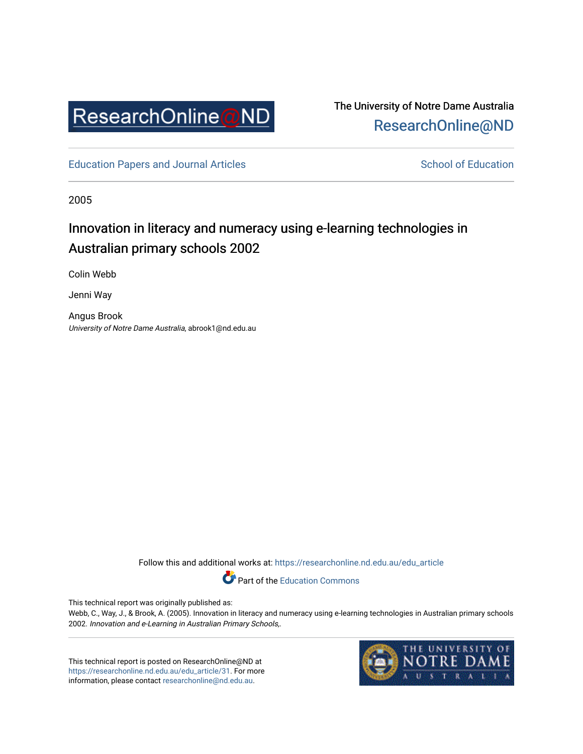

The University of Notre Dame Australia [ResearchOnline@ND](https://researchonline.nd.edu.au/) 

[Education Papers and Journal Articles](https://researchonline.nd.edu.au/edu_article) [School of Education](https://researchonline.nd.edu.au/edu) School of Education

2005

### Innovation in literacy and numeracy using e-learning technologies in Australian primary schools 2002

Colin Webb

Jenni Way

Angus Brook University of Notre Dame Australia, abrook1@nd.edu.au

Follow this and additional works at: [https://researchonline.nd.edu.au/edu\\_article](https://researchonline.nd.edu.au/edu_article?utm_source=researchonline.nd.edu.au%2Fedu_article%2F31&utm_medium=PDF&utm_campaign=PDFCoverPages)

Part of the [Education Commons](http://network.bepress.com/hgg/discipline/784?utm_source=researchonline.nd.edu.au%2Fedu_article%2F31&utm_medium=PDF&utm_campaign=PDFCoverPages) 

This technical report was originally published as:

Webb, C., Way, J., & Brook, A. (2005). Innovation in literacy and numeracy using e-learning technologies in Australian primary schools 2002. Innovation and e-Learning in Australian Primary Schools,.

This technical report is posted on ResearchOnline@ND at [https://researchonline.nd.edu.au/edu\\_article/31.](https://researchonline.nd.edu.au/edu_article/31) For more information, please contact [researchonline@nd.edu.au.](mailto:researchonline@nd.edu.au)

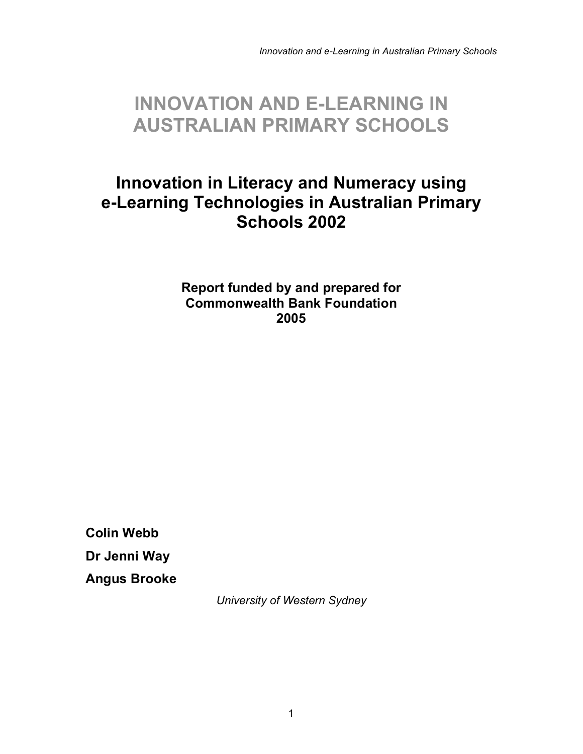## **INNOVATION AND E-LEARNING IN AUSTRALIAN PRIMARY SCHOOLS**

## **Innovation in Literacy and Numeracy using e-Learning Technologies in Australian Primary Schools 2002**

**Report funded by and prepared for Commonwealth Bank Foundation 2005**

**Colin Webb Dr Jenni Way Angus Brooke**

*University of Western Sydney*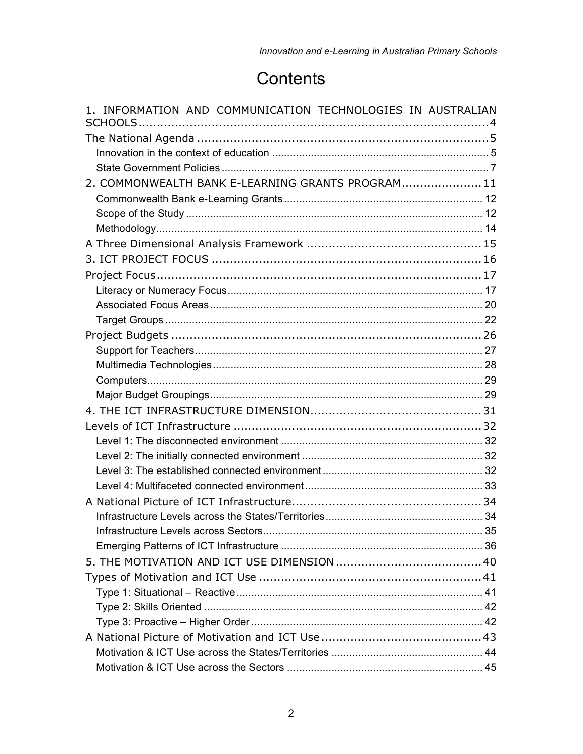## Contents

| 1. INFORMATION AND COMMUNICATION TECHNOLOGIES IN AUSTRALIAN |  |
|-------------------------------------------------------------|--|
|                                                             |  |
|                                                             |  |
|                                                             |  |
| 2. COMMONWEALTH BANK E-LEARNING GRANTS PROGRAM 11           |  |
|                                                             |  |
|                                                             |  |
|                                                             |  |
|                                                             |  |
|                                                             |  |
|                                                             |  |
|                                                             |  |
|                                                             |  |
|                                                             |  |
|                                                             |  |
|                                                             |  |
|                                                             |  |
|                                                             |  |
|                                                             |  |
|                                                             |  |
|                                                             |  |
|                                                             |  |
|                                                             |  |
|                                                             |  |
|                                                             |  |
|                                                             |  |
|                                                             |  |
|                                                             |  |
|                                                             |  |
|                                                             |  |
|                                                             |  |
|                                                             |  |
|                                                             |  |
|                                                             |  |
|                                                             |  |
|                                                             |  |
|                                                             |  |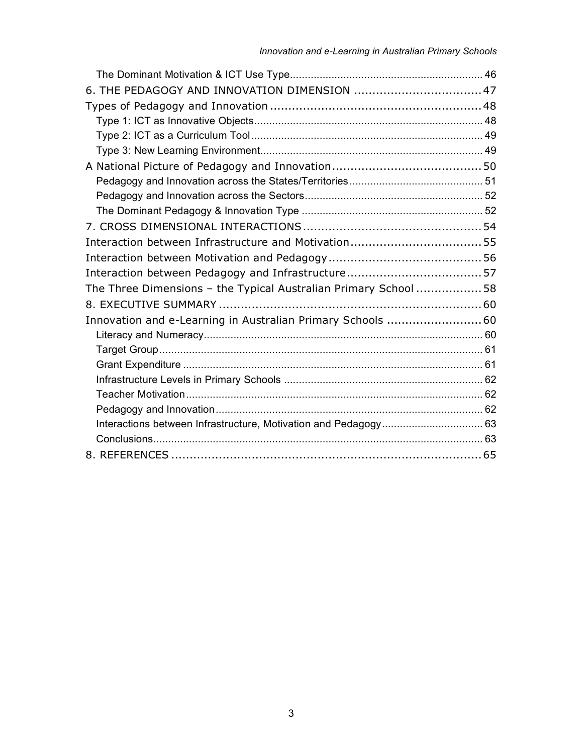| 6. THE PEDAGOGY AND INNOVATION DIMENSION  47                    |  |
|-----------------------------------------------------------------|--|
|                                                                 |  |
|                                                                 |  |
|                                                                 |  |
|                                                                 |  |
|                                                                 |  |
|                                                                 |  |
|                                                                 |  |
|                                                                 |  |
|                                                                 |  |
|                                                                 |  |
|                                                                 |  |
|                                                                 |  |
| The Three Dimensions - the Typical Australian Primary School 58 |  |
|                                                                 |  |
| Innovation and e-Learning in Australian Primary Schools 60      |  |
|                                                                 |  |
|                                                                 |  |
|                                                                 |  |
|                                                                 |  |
|                                                                 |  |
|                                                                 |  |
|                                                                 |  |
|                                                                 |  |
|                                                                 |  |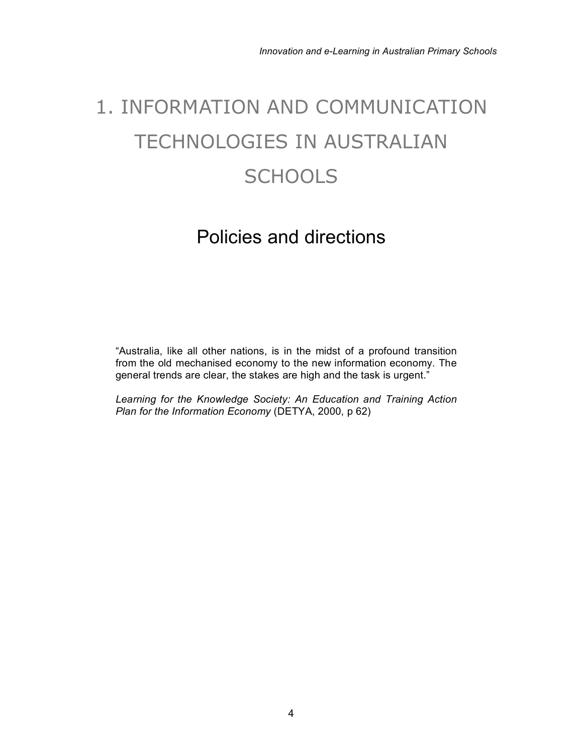# 1. INFORMATION AND COMMUNICATION TECHNOLOGIES IN AUSTRALIAN **SCHOOLS**

## Policies and directions

"Australia, like all other nations, is in the midst of a profound transition from the old mechanised economy to the new information economy. The general trends are clear, the stakes are high and the task is urgent."

*Learning for the Knowledge Society: An Education and Training Action Plan for the Information Economy* (DETYA, 2000, p 62)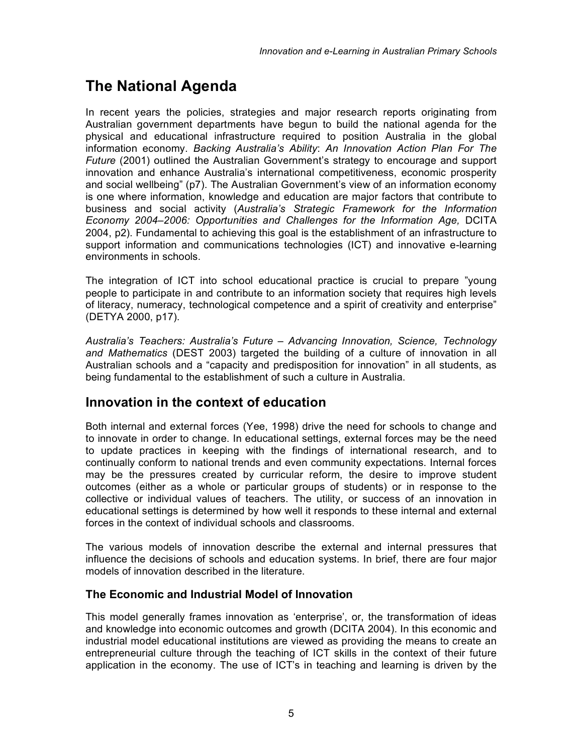## **The National Agenda**

In recent years the policies, strategies and major research reports originating from Australian government departments have begun to build the national agenda for the physical and educational infrastructure required to position Australia in the global information economy. *Backing Australia's Ability*: *An Innovation Action Plan For The Future* (2001) outlined the Australian Government's strategy to encourage and support innovation and enhance Australia's international competitiveness, economic prosperity and social wellbeing" (p7). The Australian Government's view of an information economy is one where information, knowledge and education are major factors that contribute to business and social activity (*Australia's Strategic Framework for the Information Economy 2004–2006: Opportunities and Challenges for the Information Age,* DCITA 2004, p2). Fundamental to achieving this goal is the establishment of an infrastructure to support information and communications technologies (ICT) and innovative e-learning environments in schools.

The integration of ICT into school educational practice is crucial to prepare "young people to participate in and contribute to an information society that requires high levels of literacy, numeracy, technological competence and a spirit of creativity and enterprise" (DETYA 2000, p17).

*Australia's Teachers: Australia's Future – Advancing Innovation, Science, Technology and Mathematics* (DEST 2003) targeted the building of a culture of innovation in all Australian schools and a "capacity and predisposition for innovation" in all students, as being fundamental to the establishment of such a culture in Australia.

#### **Innovation in the context of education**

Both internal and external forces (Yee, 1998) drive the need for schools to change and to innovate in order to change. In educational settings, external forces may be the need to update practices in keeping with the findings of international research, and to continually conform to national trends and even community expectations. Internal forces may be the pressures created by curricular reform, the desire to improve student outcomes (either as a whole or particular groups of students) or in response to the collective or individual values of teachers. The utility, or success of an innovation in educational settings is determined by how well it responds to these internal and external forces in the context of individual schools and classrooms.

The various models of innovation describe the external and internal pressures that influence the decisions of schools and education systems. In brief, there are four major models of innovation described in the literature.

#### **The Economic and Industrial Model of Innovation**

This model generally frames innovation as 'enterprise', or, the transformation of ideas and knowledge into economic outcomes and growth (DCITA 2004). In this economic and industrial model educational institutions are viewed as providing the means to create an entrepreneurial culture through the teaching of ICT skills in the context of their future application in the economy. The use of ICT's in teaching and learning is driven by the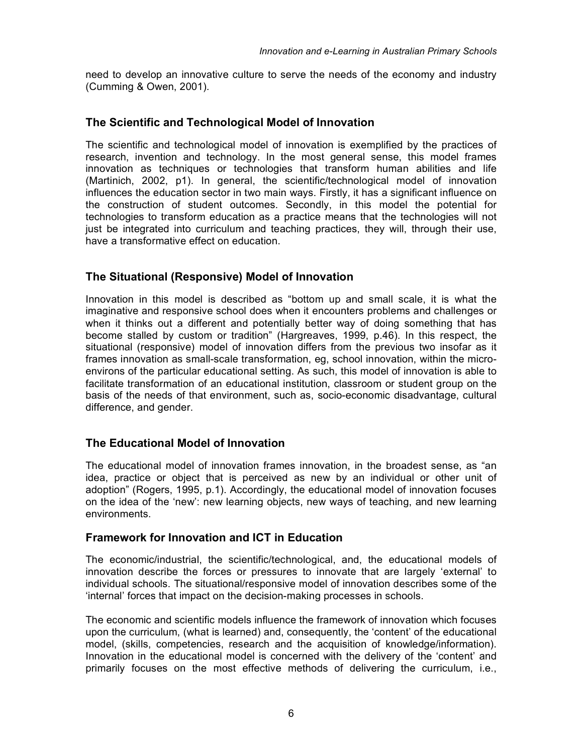need to develop an innovative culture to serve the needs of the economy and industry (Cumming & Owen, 2001).

#### **The Scientific and Technological Model of Innovation**

The scientific and technological model of innovation is exemplified by the practices of research, invention and technology. In the most general sense, this model frames innovation as techniques or technologies that transform human abilities and life (Martinich, 2002, p1). In general, the scientific/technological model of innovation influences the education sector in two main ways. Firstly, it has a significant influence on the construction of student outcomes. Secondly, in this model the potential for technologies to transform education as a practice means that the technologies will not just be integrated into curriculum and teaching practices, they will, through their use, have a transformative effect on education.

#### **The Situational (Responsive) Model of Innovation**

Innovation in this model is described as "bottom up and small scale, it is what the imaginative and responsive school does when it encounters problems and challenges or when it thinks out a different and potentially better way of doing something that has become stalled by custom or tradition" (Hargreaves, 1999, p.46). In this respect, the situational (responsive) model of innovation differs from the previous two insofar as it frames innovation as small-scale transformation, eg, school innovation, within the microenvirons of the particular educational setting. As such, this model of innovation is able to facilitate transformation of an educational institution, classroom or student group on the basis of the needs of that environment, such as, socio-economic disadvantage, cultural difference, and gender.

#### **The Educational Model of Innovation**

The educational model of innovation frames innovation, in the broadest sense, as "an idea, practice or object that is perceived as new by an individual or other unit of adoption" (Rogers, 1995, p.1). Accordingly, the educational model of innovation focuses on the idea of the 'new': new learning objects, new ways of teaching, and new learning environments.

#### **Framework for Innovation and ICT in Education**

The economic/industrial, the scientific/technological, and, the educational models of innovation describe the forces or pressures to innovate that are largely 'external' to individual schools. The situational/responsive model of innovation describes some of the 'internal' forces that impact on the decision-making processes in schools.

The economic and scientific models influence the framework of innovation which focuses upon the curriculum, (what is learned) and, consequently, the 'content' of the educational model, (skills, competencies, research and the acquisition of knowledge/information). Innovation in the educational model is concerned with the delivery of the 'content' and primarily focuses on the most effective methods of delivering the curriculum, i.e.,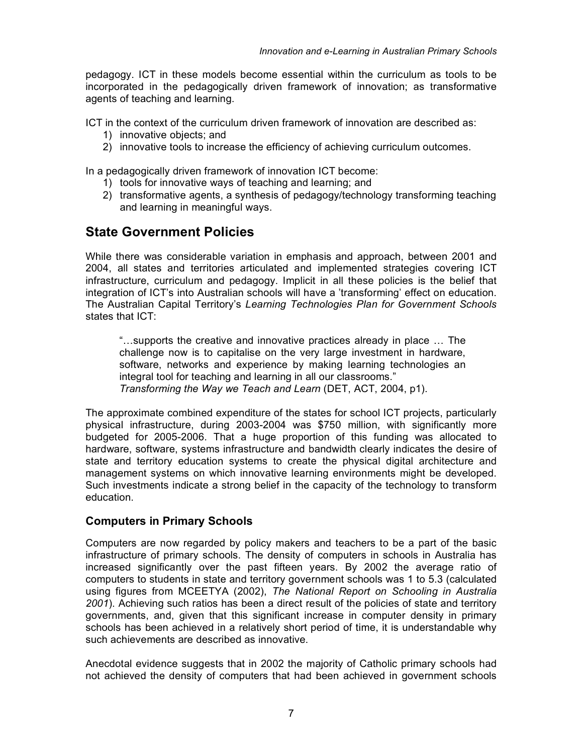pedagogy. ICT in these models become essential within the curriculum as tools to be incorporated in the pedagogically driven framework of innovation; as transformative agents of teaching and learning.

ICT in the context of the curriculum driven framework of innovation are described as:

- 1) innovative objects; and
- 2) innovative tools to increase the efficiency of achieving curriculum outcomes.

In a pedagogically driven framework of innovation ICT become:

- 1) tools for innovative ways of teaching and learning; and
- 2) transformative agents, a synthesis of pedagogy/technology transforming teaching and learning in meaningful ways.

### **State Government Policies**

While there was considerable variation in emphasis and approach, between 2001 and 2004, all states and territories articulated and implemented strategies covering ICT infrastructure, curriculum and pedagogy. Implicit in all these policies is the belief that integration of ICT's into Australian schools will have a 'transforming' effect on education. The Australian Capital Territory's *Learning Technologies Plan for Government Schools* states that ICT:

"…supports the creative and innovative practices already in place … The challenge now is to capitalise on the very large investment in hardware, software, networks and experience by making learning technologies an integral tool for teaching and learning in all our classrooms." *Transforming the Way we Teach and Learn* (DET, ACT, 2004, p1).

The approximate combined expenditure of the states for school ICT projects, particularly physical infrastructure, during 2003-2004 was \$750 million, with significantly more budgeted for 2005-2006. That a huge proportion of this funding was allocated to hardware, software, systems infrastructure and bandwidth clearly indicates the desire of state and territory education systems to create the physical digital architecture and management systems on which innovative learning environments might be developed. Such investments indicate a strong belief in the capacity of the technology to transform education.

#### **Computers in Primary Schools**

Computers are now regarded by policy makers and teachers to be a part of the basic infrastructure of primary schools. The density of computers in schools in Australia has increased significantly over the past fifteen years. By 2002 the average ratio of computers to students in state and territory government schools was 1 to 5.3 (calculated using figures from MCEETYA (2002), *The National Report on Schooling in Australia 2001*). Achieving such ratios has been a direct result of the policies of state and territory governments, and, given that this significant increase in computer density in primary schools has been achieved in a relatively short period of time, it is understandable why such achievements are described as innovative.

Anecdotal evidence suggests that in 2002 the majority of Catholic primary schools had not achieved the density of computers that had been achieved in government schools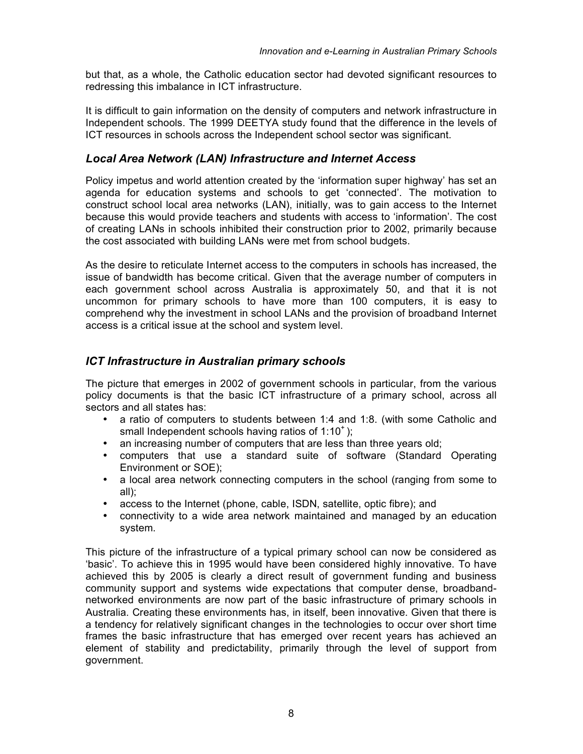but that, as a whole, the Catholic education sector had devoted significant resources to redressing this imbalance in ICT infrastructure.

It is difficult to gain information on the density of computers and network infrastructure in Independent schools. The 1999 DEETYA study found that the difference in the levels of ICT resources in schools across the Independent school sector was significant.

#### *Local Area Network (LAN) Infrastructure and Internet Access*

Policy impetus and world attention created by the 'information super highway' has set an agenda for education systems and schools to get 'connected'. The motivation to construct school local area networks (LAN), initially, was to gain access to the Internet because this would provide teachers and students with access to 'information'. The cost of creating LANs in schools inhibited their construction prior to 2002, primarily because the cost associated with building LANs were met from school budgets.

As the desire to reticulate Internet access to the computers in schools has increased, the issue of bandwidth has become critical. Given that the average number of computers in each government school across Australia is approximately 50, and that it is not uncommon for primary schools to have more than 100 computers, it is easy to comprehend why the investment in school LANs and the provision of broadband Internet access is a critical issue at the school and system level.

#### *ICT Infrastructure in Australian primary schools*

The picture that emerges in 2002 of government schools in particular, from the various policy documents is that the basic ICT infrastructure of a primary school, across all sectors and all states has:

- a ratio of computers to students between 1:4 and 1:8. (with some Catholic and small Independent schools having ratios of  $1:10^+$ );
- an increasing number of computers that are less than three years old;
- computers that use a standard suite of software (Standard Operating Environment or SOE);
- a local area network connecting computers in the school (ranging from some to all);
- access to the Internet (phone, cable, ISDN, satellite, optic fibre); and
- connectivity to a wide area network maintained and managed by an education system.

This picture of the infrastructure of a typical primary school can now be considered as 'basic'. To achieve this in 1995 would have been considered highly innovative. To have achieved this by 2005 is clearly a direct result of government funding and business community support and systems wide expectations that computer dense, broadbandnetworked environments are now part of the basic infrastructure of primary schools in Australia. Creating these environments has, in itself, been innovative. Given that there is a tendency for relatively significant changes in the technologies to occur over short time frames the basic infrastructure that has emerged over recent years has achieved an element of stability and predictability, primarily through the level of support from government.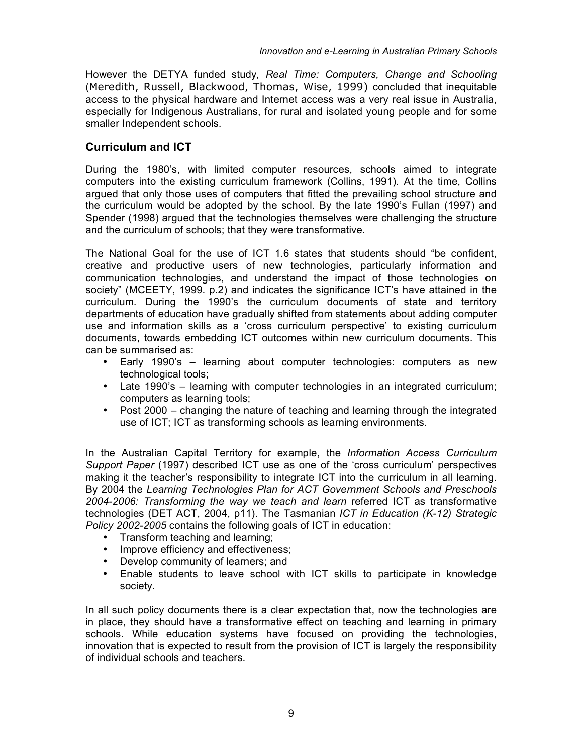However the DETYA funded study*, Real Time: Computers, Change and Schooling* (Meredith, Russell, Blackwood, Thomas, Wise, 1999) concluded that inequitable access to the physical hardware and Internet access was a very real issue in Australia, especially for Indigenous Australians, for rural and isolated young people and for some smaller Independent schools.

#### **Curriculum and ICT**

During the 1980's, with limited computer resources, schools aimed to integrate computers into the existing curriculum framework (Collins, 1991). At the time, Collins argued that only those uses of computers that fitted the prevailing school structure and the curriculum would be adopted by the school. By the late 1990's Fullan (1997) and Spender (1998) argued that the technologies themselves were challenging the structure and the curriculum of schools; that they were transformative.

The National Goal for the use of ICT 1.6 states that students should "be confident, creative and productive users of new technologies, particularly information and communication technologies, and understand the impact of those technologies on society" (MCEETY, 1999. p.2) and indicates the significance ICT's have attained in the curriculum. During the 1990's the curriculum documents of state and territory departments of education have gradually shifted from statements about adding computer use and information skills as a 'cross curriculum perspective' to existing curriculum documents, towards embedding ICT outcomes within new curriculum documents. This can be summarised as:

- Early 1990's learning about computer technologies: computers as new technological tools;
- Late 1990's learning with computer technologies in an integrated curriculum; computers as learning tools;
- Post 2000 changing the nature of teaching and learning through the integrated use of ICT; ICT as transforming schools as learning environments.

In the Australian Capital Territory for example**,** the *Information Access Curriculum Support Paper* (1997) described ICT use as one of the 'cross curriculum' perspectives making it the teacher's responsibility to integrate ICT into the curriculum in all learning. By 2004 the *Learning Technologies Plan for ACT Government Schools and Preschools 2004-2006: Transforming the way we teach and learn* referred ICT as transformative technologies (DET ACT, 2004, p11). The Tasmanian *ICT in Education (K-12) Strategic Policy 2002-2005* contains the following goals of ICT in education:

- Transform teaching and learning;
- Improve efficiency and effectiveness;
- Develop community of learners; and
- Enable students to leave school with ICT skills to participate in knowledge society.

In all such policy documents there is a clear expectation that, now the technologies are in place, they should have a transformative effect on teaching and learning in primary schools. While education systems have focused on providing the technologies, innovation that is expected to result from the provision of ICT is largely the responsibility of individual schools and teachers.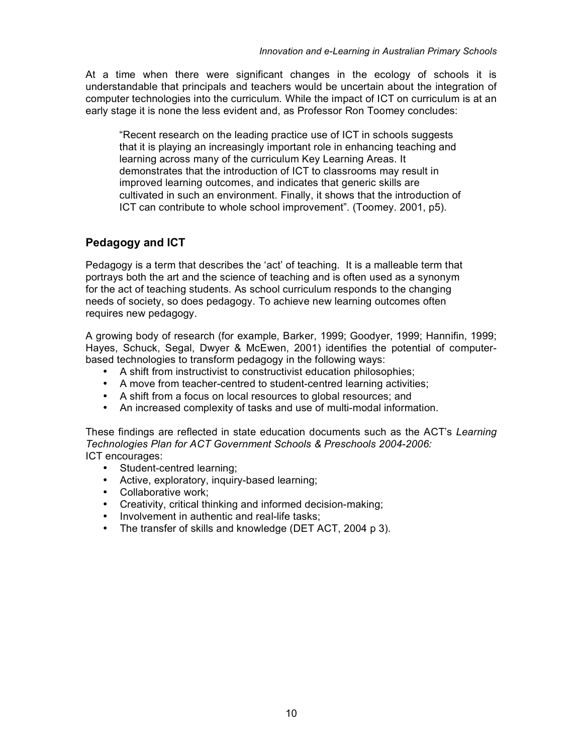At a time when there were significant changes in the ecology of schools it is understandable that principals and teachers would be uncertain about the integration of computer technologies into the curriculum. While the impact of ICT on curriculum is at an early stage it is none the less evident and, as Professor Ron Toomey concludes:

"Recent research on the leading practice use of ICT in schools suggests that it is playing an increasingly important role in enhancing teaching and learning across many of the curriculum Key Learning Areas. It demonstrates that the introduction of ICT to classrooms may result in improved learning outcomes, and indicates that generic skills are cultivated in such an environment. Finally, it shows that the introduction of ICT can contribute to whole school improvement". (Toomey. 2001, p5).

#### **Pedagogy and ICT**

Pedagogy is a term that describes the 'act' of teaching. It is a malleable term that portrays both the art and the science of teaching and is often used as a synonym for the act of teaching students. As school curriculum responds to the changing needs of society, so does pedagogy. To achieve new learning outcomes often requires new pedagogy.

A growing body of research (for example, Barker, 1999; Goodyer, 1999; Hannifin, 1999; Hayes, Schuck, Segal, Dwyer & McEwen, 2001) identifies the potential of computerbased technologies to transform pedagogy in the following ways:

- A shift from instructivist to constructivist education philosophies;
- A move from teacher-centred to student-centred learning activities;
- A shift from a focus on local resources to global resources; and
- An increased complexity of tasks and use of multi-modal information.

These findings are reflected in state education documents such as the ACT's *Learning Technologies Plan for ACT Government Schools & Preschools 2004-2006:* ICT encourages:

- Student-centred learning;
- Active, exploratory, inquiry-based learning;
- Collaborative work;
- Creativity, critical thinking and informed decision-making;
- Involvement in authentic and real-life tasks;
- The transfer of skills and knowledge (DET ACT, 2004 p 3).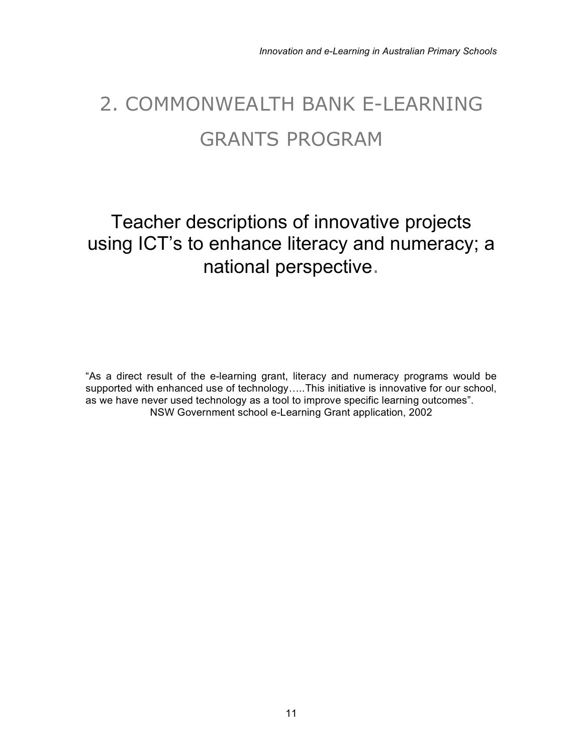# 2. COMMONWEALTH BANK E-LEARNING GRANTS PROGRAM

## Teacher descriptions of innovative projects using ICT's to enhance literacy and numeracy; a national perspective.

"As a direct result of the e-learning grant, literacy and numeracy programs would be supported with enhanced use of technology.....This initiative is innovative for our school, as we have never used technology as a tool to improve specific learning outcomes". NSW Government school e-Learning Grant application, 2002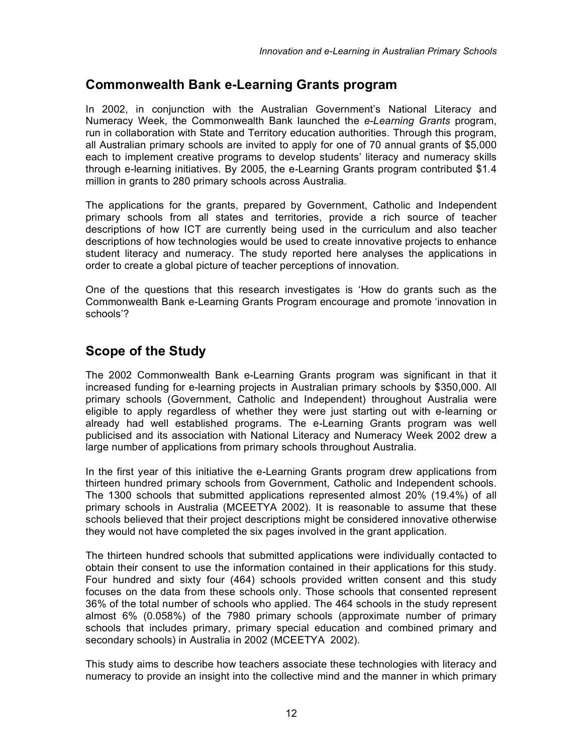#### **Commonwealth Bank e-Learning Grants program**

In 2002, in conjunction with the Australian Government's National Literacy and Numeracy Week, the Commonwealth Bank launched the *e-Learning Grants* program, run in collaboration with State and Territory education authorities. Through this program, all Australian primary schools are invited to apply for one of 70 annual grants of \$5,000 each to implement creative programs to develop students' literacy and numeracy skills through e-learning initiatives. By 2005, the e-Learning Grants program contributed \$1.4 million in grants to 280 primary schools across Australia.

The applications for the grants, prepared by Government, Catholic and Independent primary schools from all states and territories, provide a rich source of teacher descriptions of how ICT are currently being used in the curriculum and also teacher descriptions of how technologies would be used to create innovative projects to enhance student literacy and numeracy. The study reported here analyses the applications in order to create a global picture of teacher perceptions of innovation.

One of the questions that this research investigates is 'How do grants such as the Commonwealth Bank e-Learning Grants Program encourage and promote 'innovation in schools'?

#### **Scope of the Study**

The 2002 Commonwealth Bank e-Learning Grants program was significant in that it increased funding for e-learning projects in Australian primary schools by \$350,000. All primary schools (Government, Catholic and Independent) throughout Australia were eligible to apply regardless of whether they were just starting out with e-learning or already had well established programs. The e-Learning Grants program was well publicised and its association with National Literacy and Numeracy Week 2002 drew a large number of applications from primary schools throughout Australia.

In the first year of this initiative the e-Learning Grants program drew applications from thirteen hundred primary schools from Government, Catholic and Independent schools. The 1300 schools that submitted applications represented almost 20% (19.4%) of all primary schools in Australia (MCEETYA 2002). It is reasonable to assume that these schools believed that their project descriptions might be considered innovative otherwise they would not have completed the six pages involved in the grant application.

The thirteen hundred schools that submitted applications were individually contacted to obtain their consent to use the information contained in their applications for this study. Four hundred and sixty four (464) schools provided written consent and this study focuses on the data from these schools only. Those schools that consented represent 36% of the total number of schools who applied. The 464 schools in the study represent almost 6% (0.058%) of the 7980 primary schools (approximate number of primary schools that includes primary, primary special education and combined primary and secondary schools) in Australia in 2002 (MCEETYA 2002).

This study aims to describe how teachers associate these technologies with literacy and numeracy to provide an insight into the collective mind and the manner in which primary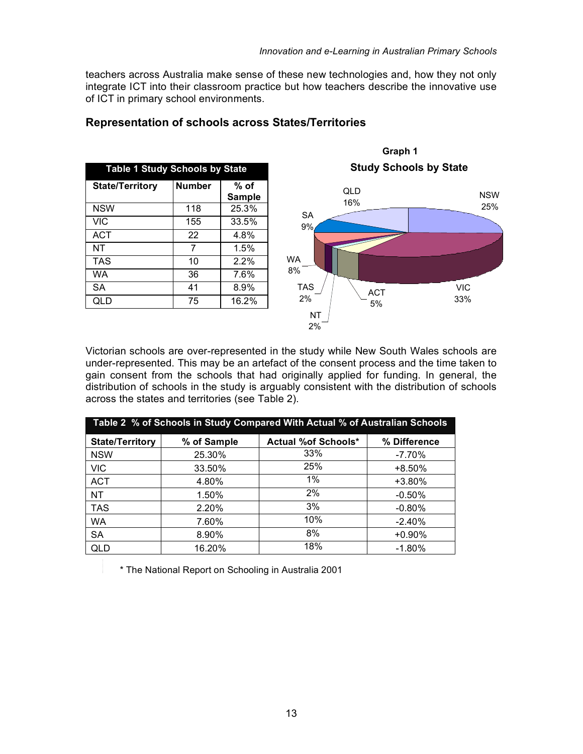teachers across Australia make sense of these new technologies and, how they not only integrate ICT into their classroom practice but how teachers describe the innovative use of ICT in primary school environments.

| <b>Table 1 Study Schools by State</b> |               |                       |  |
|---------------------------------------|---------------|-----------------------|--|
| <b>State/Territory</b>                | <b>Number</b> | % of<br><b>Sample</b> |  |
| <b>NSW</b>                            | 118           | 25.3%                 |  |
| <b>VIC</b>                            | 155           | 33.5%                 |  |
| ACT                                   | 22            | 4.8%                  |  |
| ΝT                                    | 7             | 1.5%                  |  |
| <b>TAS</b>                            | 10            | 2.2%                  |  |
| WA                                    | 36            | 7.6%                  |  |
| <b>SA</b>                             | 41            | 8.9%                  |  |
| QLD                                   | 75            | 16.2%                 |  |
|                                       |               |                       |  |

#### **Representation of schools across States/Territories**



**Graph 1**

Victorian schools are over-represented in the study while New South Wales schools are under-represented. This may be an artefact of the consent process and the time taken to gain consent from the schools that had originally applied for funding. In general, the distribution of schools in the study is arguably consistent with the distribution of schools across the states and territories (see Table 2).

| Table 2 % of Schools in Study Compared With Actual % of Australian Schools |             |                             |              |
|----------------------------------------------------------------------------|-------------|-----------------------------|--------------|
| <b>State/Territory</b>                                                     | % of Sample | <b>Actual % of Schools*</b> | % Difference |
| <b>NSW</b>                                                                 | 25.30%      | 33%                         | $-7.70%$     |
| <b>VIC</b>                                                                 | 33.50%      | 25%                         | $+8.50%$     |
| <b>ACT</b>                                                                 | 4.80%       | $1\%$                       | +3.80%       |
| NΤ                                                                         | 1.50%       | 2%                          | $-0.50%$     |
| <b>TAS</b>                                                                 | 2.20%       | 3%                          | $-0.80%$     |
| WA                                                                         | 7.60%       | 10%                         | $-2.40%$     |
| <b>SA</b>                                                                  | 8.90%       | 8%                          | $+0.90%$     |
| QLD                                                                        | 16.20%      | 18%                         | $-1.80%$     |

8. \* The National Report on Schooling in Australia 2001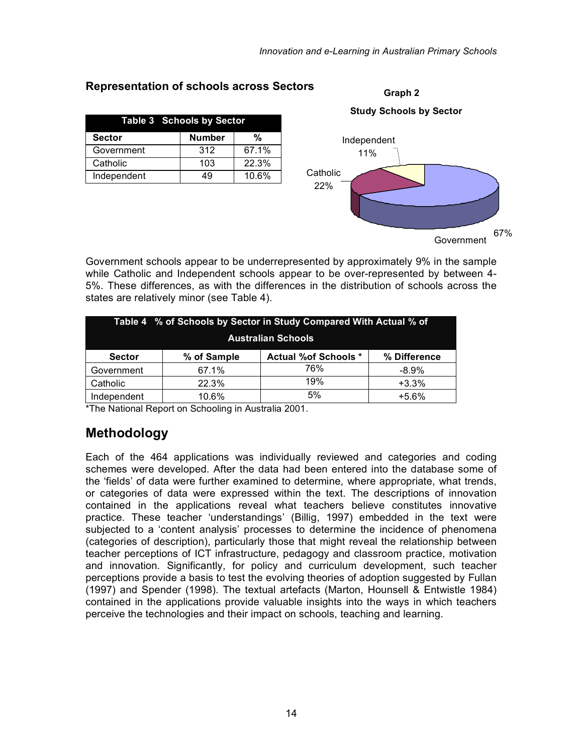**Graph 2**

|               | <b>Table 3 Schools by Sector</b> |       |
|---------------|----------------------------------|-------|
| <b>Sector</b> | <b>Number</b>                    | $\%$  |
| Government    | 312                              | 67.1% |
| Catholic      | 103                              | 22.3% |
| Independent   | 49                               | 10.6% |
|               |                                  |       |
|               |                                  |       |

#### **Representation of schools across Sectors**

Government schools appear to be underrepresented by approximately 9% in the sample while Catholic and Independent schools appear to be over-represented by between 4- 5%. These differences, as with the differences in the distribution of schools across the states are relatively minor (see Table 4).

|                           |             | Table 4 % of Schools by Sector in Study Compared With Actual % of |              |
|---------------------------|-------------|-------------------------------------------------------------------|--------------|
| <b>Australian Schools</b> |             |                                                                   |              |
| <b>Sector</b>             | % of Sample | <b>Actual %of Schools *</b>                                       | % Difference |
| Government                | 67.1%       | 76%                                                               | $-8.9\%$     |
| Catholic                  | 22.3%       | 19%                                                               | $+3.3%$      |
| Independent               | 10.6%       | 5%                                                                | $+5.6%$      |

\*The National Report on Schooling in Australia 2001.

### **Methodology**

Each of the 464 applications was individually reviewed and categories and coding schemes were developed. After the data had been entered into the database some of the 'fields' of data were further examined to determine, where appropriate, what trends, or categories of data were expressed within the text. The descriptions of innovation contained in the applications reveal what teachers believe constitutes innovative practice. These teacher 'understandings' (Billig, 1997) embedded in the text were subjected to a 'content analysis' processes to determine the incidence of phenomena (categories of description), particularly those that might reveal the relationship between teacher perceptions of ICT infrastructure, pedagogy and classroom practice, motivation and innovation. Significantly, for policy and curriculum development, such teacher perceptions provide a basis to test the evolving theories of adoption suggested by Fullan (1997) and Spender (1998). The textual artefacts (Marton, Hounsell & Entwistle 1984) contained in the applications provide valuable insights into the ways in which teachers perceive the technologies and their impact on schools, teaching and learning.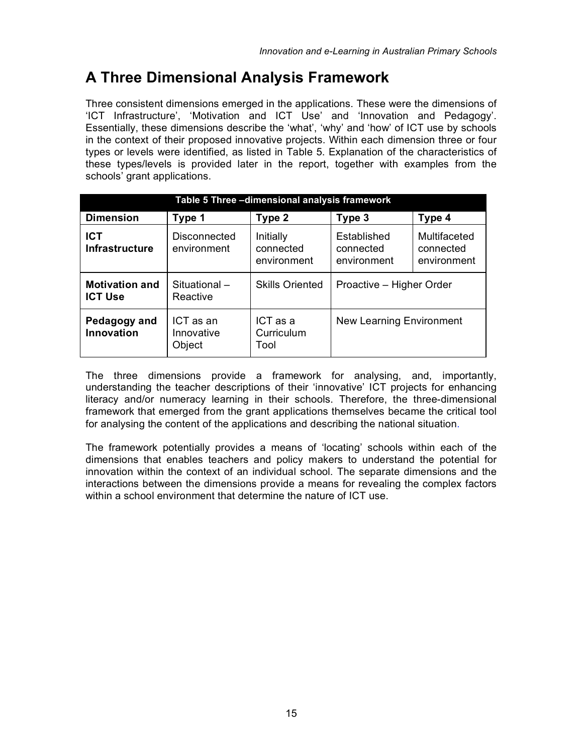## **A Three Dimensional Analysis Framework**

Three consistent dimensions emerged in the applications. These were the dimensions of 'ICT Infrastructure', 'Motivation and ICT Use' and 'Innovation and Pedagogy'. Essentially, these dimensions describe the 'what', 'why' and 'how' of ICT use by schools in the context of their proposed innovative projects. Within each dimension three or four types or levels were identified, as listed in Table 5. Explanation of the characteristics of these types/levels is provided later in the report, together with examples from the schools' grant applications.

| Table 5 Three -dimensional analysis framework |                                   |                                       |                                         |                                          |
|-----------------------------------------------|-----------------------------------|---------------------------------------|-----------------------------------------|------------------------------------------|
| <b>Dimension</b>                              | Type 1                            | Type 2                                | Type 3                                  | Type 4                                   |
| <b>ICT</b><br><b>Infrastructure</b>           | Disconnected<br>environment       | Initially<br>connected<br>environment | Established<br>connected<br>environment | Multifaceted<br>connected<br>environment |
| <b>Motivation and</b><br><b>ICT Use</b>       | Situational-<br>Reactive          | <b>Skills Oriented</b>                | Proactive - Higher Order                |                                          |
| Pedagogy and<br><b>Innovation</b>             | ICT as an<br>Innovative<br>Object | ICT as a<br>Curriculum<br>Tool        | New Learning Environment                |                                          |

The three dimensions provide a framework for analysing, and, importantly, understanding the teacher descriptions of their 'innovative' ICT projects for enhancing literacy and/or numeracy learning in their schools. Therefore, the three-dimensional framework that emerged from the grant applications themselves became the critical tool for analysing the content of the applications and describing the national situation.

The framework potentially provides a means of 'locating' schools within each of the dimensions that enables teachers and policy makers to understand the potential for innovation within the context of an individual school. The separate dimensions and the interactions between the dimensions provide a means for revealing the complex factors within a school environment that determine the nature of ICT use.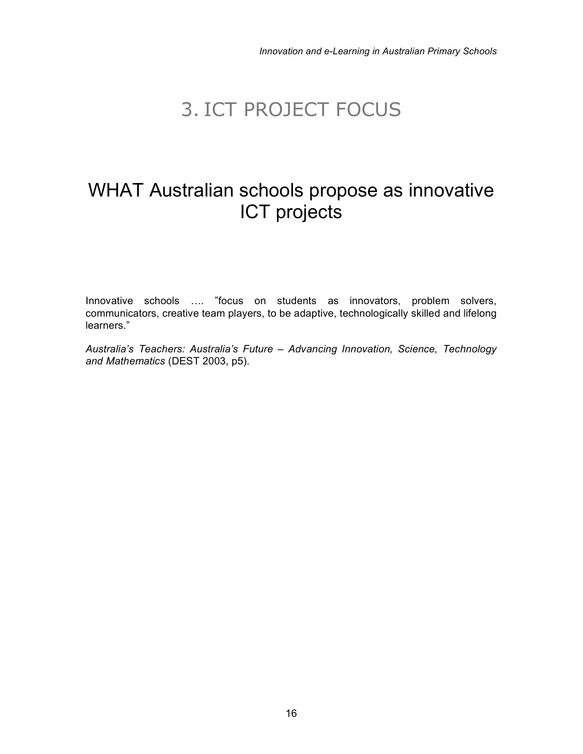## 3. ICT PROJECT FOCUS

## WHAT Australian schools propose as innovative ICT projects

Innovative schools …. "focus on students as innovators, problem solvers, communicators, creative team players, to be adaptive, technologically skilled and lifelong learners."

*Australia's Teachers: Australia's Future – Advancing Innovation, Science, Technology and Mathematics* (DEST 2003, p5).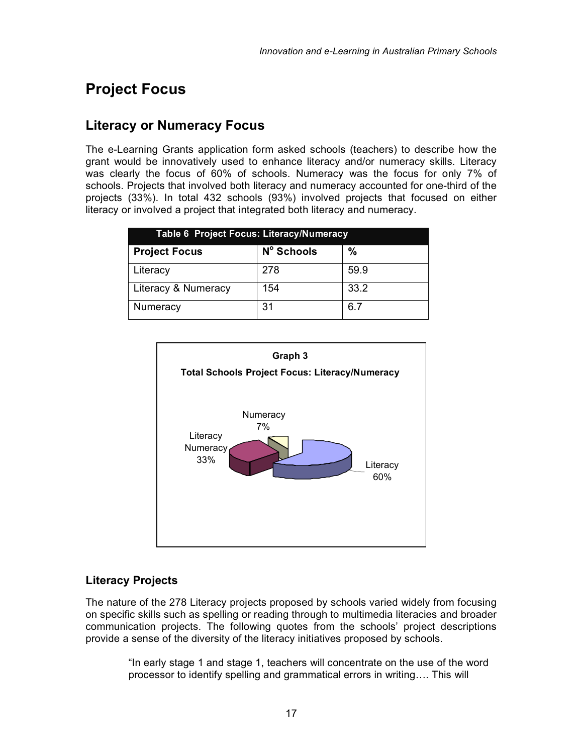## **Project Focus**

#### **Literacy or Numeracy Focus**

The e-Learning Grants application form asked schools (teachers) to describe how the grant would be innovatively used to enhance literacy and/or numeracy skills. Literacy was clearly the focus of 60% of schools. Numeracy was the focus for only 7% of schools. Projects that involved both literacy and numeracy accounted for one-third of the projects (33%). In total 432 schools (93%) involved projects that focused on either literacy or involved a project that integrated both literacy and numeracy.

| <b>Table 6 Project Focus: Literacy/Numeracy</b> |            |      |
|-------------------------------------------------|------------|------|
| <b>Project Focus</b>                            | Nº Schools | %    |
| Literacy                                        | 278        | 59.9 |
| Literacy & Numeracy                             | 154        | 33.2 |
| Numeracy                                        | 31         | 6.7  |



#### **Literacy Projects**

The nature of the 278 Literacy projects proposed by schools varied widely from focusing on specific skills such as spelling or reading through to multimedia literacies and broader communication projects. The following quotes from the schools' project descriptions provide a sense of the diversity of the literacy initiatives proposed by schools.

"In early stage 1 and stage 1, teachers will concentrate on the use of the word processor to identify spelling and grammatical errors in writing…. This will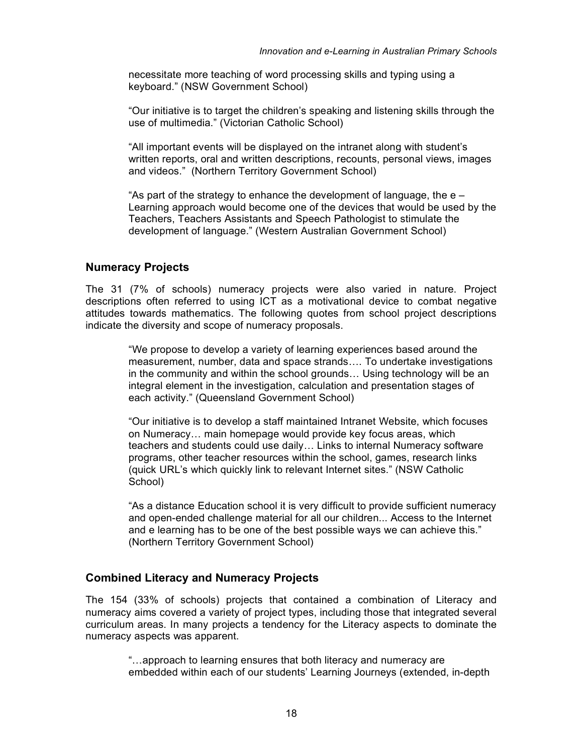necessitate more teaching of word processing skills and typing using a keyboard." (NSW Government School)

"Our initiative is to target the children's speaking and listening skills through the use of multimedia." (Victorian Catholic School)

"All important events will be displayed on the intranet along with student's written reports, oral and written descriptions, recounts, personal views, images and videos." (Northern Territory Government School)

"As part of the strategy to enhance the development of language, the  $e -$ Learning approach would become one of the devices that would be used by the Teachers, Teachers Assistants and Speech Pathologist to stimulate the development of language." (Western Australian Government School)

#### **Numeracy Projects**

The 31 (7% of schools) numeracy projects were also varied in nature. Project descriptions often referred to using ICT as a motivational device to combat negative attitudes towards mathematics. The following quotes from school project descriptions indicate the diversity and scope of numeracy proposals.

"We propose to develop a variety of learning experiences based around the measurement, number, data and space strands…. To undertake investigations in the community and within the school grounds… Using technology will be an integral element in the investigation, calculation and presentation stages of each activity." (Queensland Government School)

"Our initiative is to develop a staff maintained Intranet Website, which focuses on Numeracy… main homepage would provide key focus areas, which teachers and students could use daily… Links to internal Numeracy software programs, other teacher resources within the school, games, research links (quick URL's which quickly link to relevant Internet sites." (NSW Catholic School)

"As a distance Education school it is very difficult to provide sufficient numeracy and open-ended challenge material for all our children... Access to the Internet and e learning has to be one of the best possible ways we can achieve this." (Northern Territory Government School)

#### **Combined Literacy and Numeracy Projects**

The 154 (33% of schools) projects that contained a combination of Literacy and numeracy aims covered a variety of project types, including those that integrated several curriculum areas. In many projects a tendency for the Literacy aspects to dominate the numeracy aspects was apparent.

"…approach to learning ensures that both literacy and numeracy are embedded within each of our students' Learning Journeys (extended, in-depth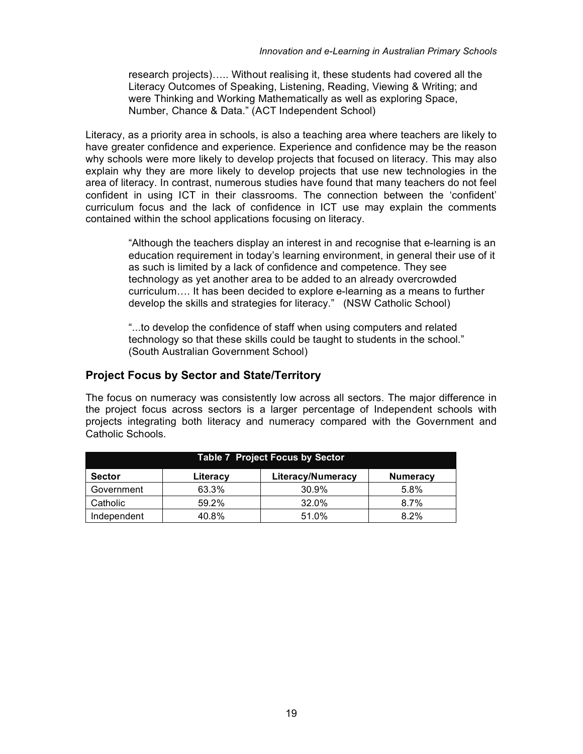research projects)….. Without realising it, these students had covered all the Literacy Outcomes of Speaking, Listening, Reading, Viewing & Writing; and were Thinking and Working Mathematically as well as exploring Space, Number, Chance & Data." (ACT Independent School)

Literacy, as a priority area in schools, is also a teaching area where teachers are likely to have greater confidence and experience. Experience and confidence may be the reason why schools were more likely to develop projects that focused on literacy. This may also explain why they are more likely to develop projects that use new technologies in the area of literacy. In contrast, numerous studies have found that many teachers do not feel confident in using ICT in their classrooms. The connection between the 'confident' curriculum focus and the lack of confidence in ICT use may explain the comments contained within the school applications focusing on literacy.

> "Although the teachers display an interest in and recognise that e-learning is an education requirement in today's learning environment, in general their use of it as such is limited by a lack of confidence and competence. They see technology as yet another area to be added to an already overcrowded curriculum…. It has been decided to explore e-learning as a means to further develop the skills and strategies for literacy." (NSW Catholic School)

"...to develop the confidence of staff when using computers and related technology so that these skills could be taught to students in the school." (South Australian Government School)

#### **Project Focus by Sector and State/Territory**

The focus on numeracy was consistently low across all sectors. The major difference in the project focus across sectors is a larger percentage of Independent schools with projects integrating both literacy and numeracy compared with the Government and Catholic Schools.

| <b>Table 7 Project Focus by Sector</b> |          |                          |                 |
|----------------------------------------|----------|--------------------------|-----------------|
| <b>Sector</b>                          | Literacy | <b>Literacy/Numeracy</b> | <b>Numeracy</b> |
| Government                             | 63.3%    | 30.9%                    | 5.8%            |
| Catholic                               | 59.2%    | 32.0%                    | $8.7\%$         |
| Independent                            | 40.8%    | 51.0%                    | $8.2\%$         |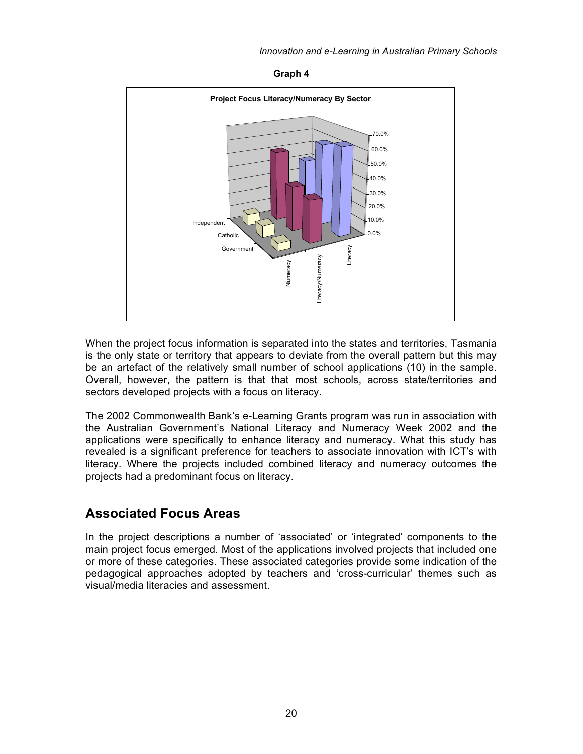**Graph 4**



When the project focus information is separated into the states and territories, Tasmania is the only state or territory that appears to deviate from the overall pattern but this may be an artefact of the relatively small number of school applications (10) in the sample. Overall, however, the pattern is that that most schools, across state/territories and sectors developed projects with a focus on literacy.

The 2002 Commonwealth Bank's e-Learning Grants program was run in association with the Australian Government's National Literacy and Numeracy Week 2002 and the applications were specifically to enhance literacy and numeracy. What this study has revealed is a significant preference for teachers to associate innovation with ICT's with literacy. Where the projects included combined literacy and numeracy outcomes the projects had a predominant focus on literacy.

#### **Associated Focus Areas**

In the project descriptions a number of 'associated' or 'integrated' components to the main project focus emerged. Most of the applications involved projects that included one or more of these categories. These associated categories provide some indication of the pedagogical approaches adopted by teachers and 'cross-curricular' themes such as visual/media literacies and assessment.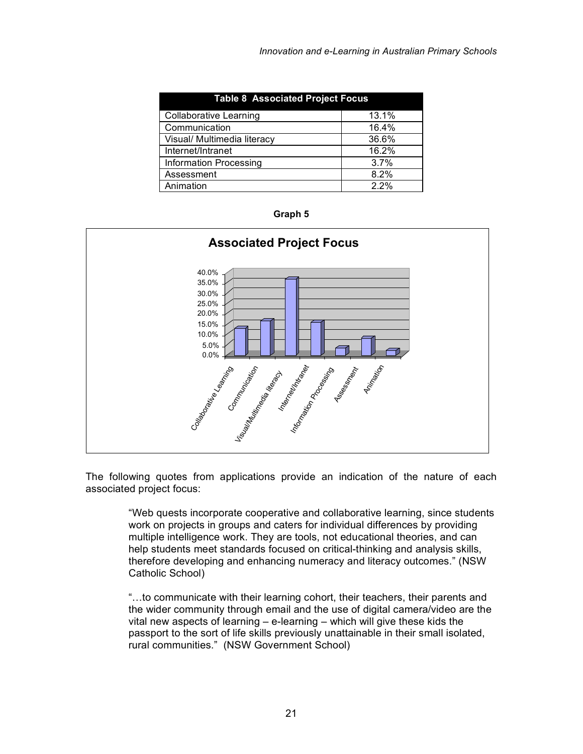| <b>Table 8 Associated Project Focus</b> |       |
|-----------------------------------------|-------|
| <b>Collaborative Learning</b>           | 13.1% |
| Communication                           | 16.4% |
| Visual/ Multimedia literacy             | 36.6% |
| Internet/Intranet                       | 16.2% |
| <b>Information Processing</b>           | 3.7%  |
| Assessment                              | 8.2%  |
| Animation                               | 22%   |





The following quotes from applications provide an indication of the nature of each associated project focus:

"Web quests incorporate cooperative and collaborative learning, since students work on projects in groups and caters for individual differences by providing multiple intelligence work. They are tools, not educational theories, and can help students meet standards focused on critical-thinking and analysis skills, therefore developing and enhancing numeracy and literacy outcomes." (NSW Catholic School)

"…to communicate with their learning cohort, their teachers, their parents and the wider community through email and the use of digital camera/video are the vital new aspects of learning – e-learning – which will give these kids the passport to the sort of life skills previously unattainable in their small isolated, rural communities." (NSW Government School)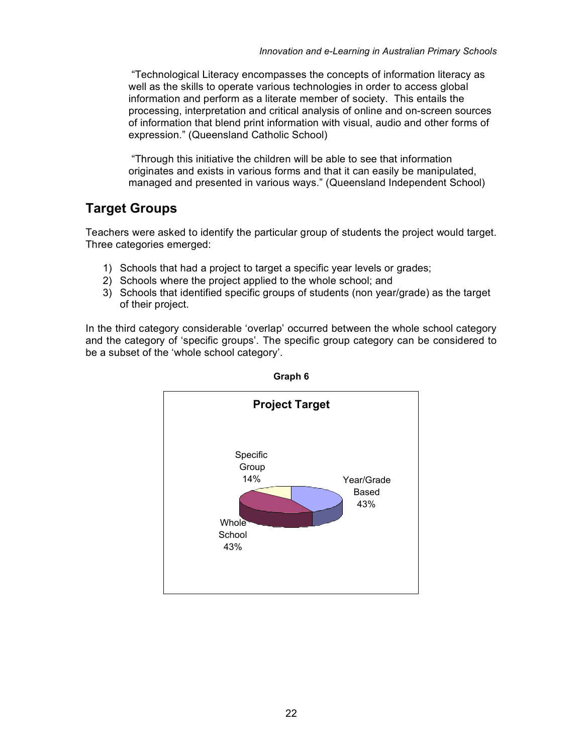"Technological Literacy encompasses the concepts of information literacy as well as the skills to operate various technologies in order to access global information and perform as a literate member of society. This entails the processing, interpretation and critical analysis of online and on-screen sources of information that blend print information with visual, audio and other forms of expression." (Queensland Catholic School)

"Through this initiative the children will be able to see that information originates and exists in various forms and that it can easily be manipulated, managed and presented in various ways." (Queensland Independent School)

### **Target Groups**

Teachers were asked to identify the particular group of students the project would target. Three categories emerged:

- 1) Schools that had a project to target a specific year levels or grades;
- 2) Schools where the project applied to the whole school; and
- 3) Schools that identified specific groups of students (non year/grade) as the target of their project.

In the third category considerable 'overlap' occurred between the whole school category and the category of 'specific groups'. The specific group category can be considered to be a subset of the 'whole school category'.



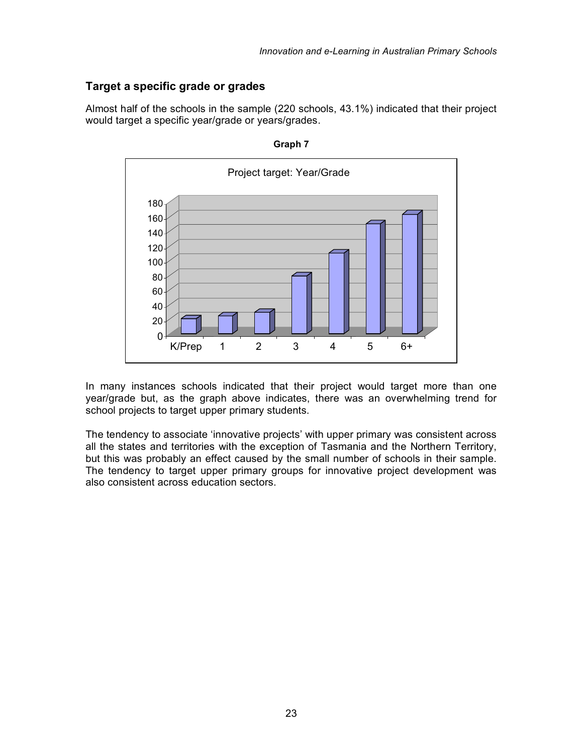#### **Target a specific grade or grades**

Almost half of the schools in the sample (220 schools, 43.1%) indicated that their project would target a specific year/grade or years/grades.





In many instances schools indicated that their project would target more than one year/grade but, as the graph above indicates, there was an overwhelming trend for school projects to target upper primary students.

The tendency to associate 'innovative projects' with upper primary was consistent across all the states and territories with the exception of Tasmania and the Northern Territory, but this was probably an effect caused by the small number of schools in their sample. The tendency to target upper primary groups for innovative project development was also consistent across education sectors.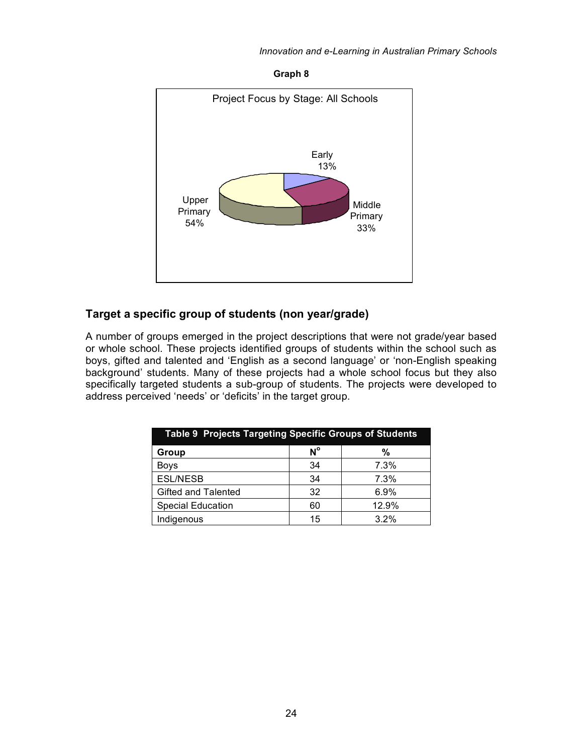#### *Innovation and e-Learning in Australian Primary Schools*

**Graph 8**



#### **Target a specific group of students (non year/grade)**

A number of groups emerged in the project descriptions that were not grade/year based or whole school. These projects identified groups of students within the school such as boys, gifted and talented and 'English as a second language' or 'non-English speaking background' students. Many of these projects had a whole school focus but they also specifically targeted students a sub-group of students. The projects were developed to address perceived 'needs' or 'deficits' in the target group.

| Table 9 Projects Targeting Specific Groups of Students |             |       |  |
|--------------------------------------------------------|-------------|-------|--|
| Group                                                  | $N^{\circ}$ | %     |  |
| <b>Boys</b>                                            | 34          | 7.3%  |  |
| <b>ESL/NESB</b>                                        | 34          | 7.3%  |  |
| Gifted and Talented                                    | 32          | 6.9%  |  |
| <b>Special Education</b>                               | 60          | 12.9% |  |
| Indigenous                                             | 15          | 3.2%  |  |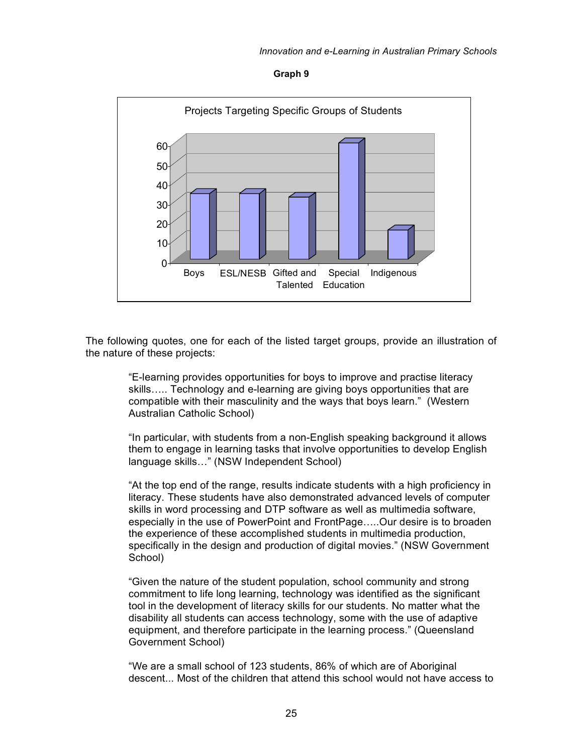



The following quotes, one for each of the listed target groups, provide an illustration of the nature of these projects:

> "E-learning provides opportunities for boys to improve and practise literacy skills….. Technology and e-learning are giving boys opportunities that are compatible with their masculinity and the ways that boys learn." (Western Australian Catholic School)

"In particular, with students from a non-English speaking background it allows them to engage in learning tasks that involve opportunities to develop English language skills…" (NSW Independent School)

"At the top end of the range, results indicate students with a high proficiency in literacy. These students have also demonstrated advanced levels of computer skills in word processing and DTP software as well as multimedia software, especially in the use of PowerPoint and FrontPage…..Our desire is to broaden the experience of these accomplished students in multimedia production, specifically in the design and production of digital movies." (NSW Government School)

"Given the nature of the student population, school community and strong commitment to life long learning, technology was identified as the significant tool in the development of literacy skills for our students. No matter what the disability all students can access technology, some with the use of adaptive equipment, and therefore participate in the learning process." (Queensland Government School)

"We are a small school of 123 students, 86% of which are of Aboriginal descent... Most of the children that attend this school would not have access to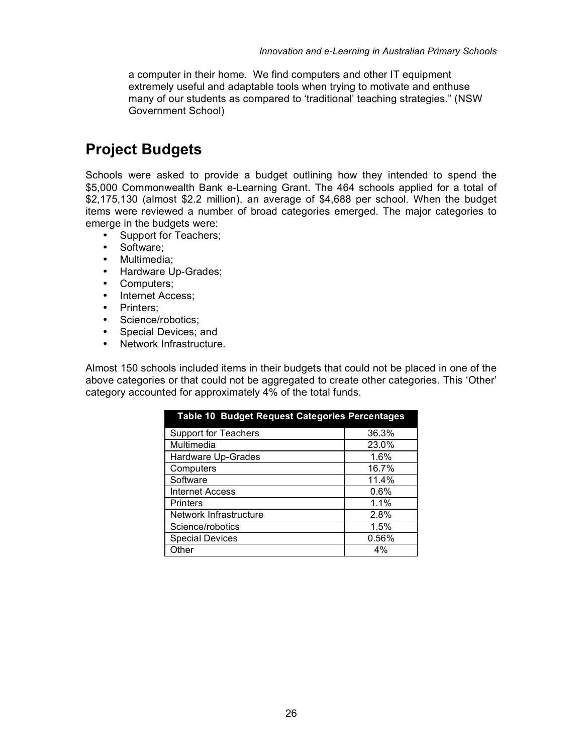a computer in their home. We find computers and other IT equipment extremely useful and adaptable tools when trying to motivate and enthuse many of our students as compared to 'traditional' teaching strategies." (NSW Government School)

## **Project Budgets**

Schools were asked to provide a budget outlining how they intended to spend the \$5,000 Commonwealth Bank e-Learning Grant. The 464 schools applied for a total of \$2,175,130 (almost \$2.2 million), an average of \$4,688 per school. When the budget items were reviewed a number of broad categories emerged. The major categories to emerge in the budgets were:

- Support for Teachers;
- Software;
- Multimedia;
- Hardware Up-Grades;
- Computers;
- Internet Access;
- Printers;
- Science/robotics;
- Special Devices; and
- Network Infrastructure.

Almost 150 schools included items in their budgets that could not be placed in one of the above categories or that could not be aggregated to create other categories. This 'Other' category accounted for approximately 4% of the total funds.

| <b>Table 10 Budget Request Categories Percentages</b> |         |
|-------------------------------------------------------|---------|
| <b>Support for Teachers</b>                           | 36.3%   |
| Multimedia                                            | 23.0%   |
| Hardware Up-Grades                                    | 1.6%    |
| Computers                                             | 16.7%   |
| Software                                              | 11.4%   |
| Internet Access                                       | $0.6\%$ |
| <b>Printers</b>                                       | 1.1%    |
| Network Infrastructure                                | 2.8%    |
| Science/robotics                                      | 1.5%    |
| <b>Special Devices</b>                                | 0.56%   |
| Other                                                 | 4%      |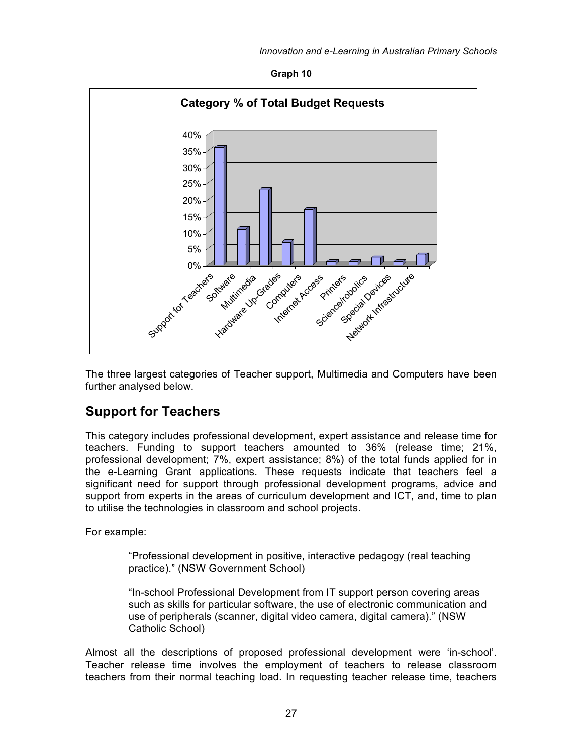



The three largest categories of Teacher support, Multimedia and Computers have been further analysed below.

#### **Support for Teachers**

This category includes professional development, expert assistance and release time for teachers. Funding to support teachers amounted to 36% (release time; 21%, professional development; 7%, expert assistance; 8%) of the total funds applied for in the e-Learning Grant applications. These requests indicate that teachers feel a significant need for support through professional development programs, advice and support from experts in the areas of curriculum development and ICT, and, time to plan to utilise the technologies in classroom and school projects.

For example:

"Professional development in positive, interactive pedagogy (real teaching practice)." (NSW Government School)

"In-school Professional Development from IT support person covering areas such as skills for particular software, the use of electronic communication and use of peripherals (scanner, digital video camera, digital camera)." (NSW Catholic School)

Almost all the descriptions of proposed professional development were 'in-school'. Teacher release time involves the employment of teachers to release classroom teachers from their normal teaching load. In requesting teacher release time, teachers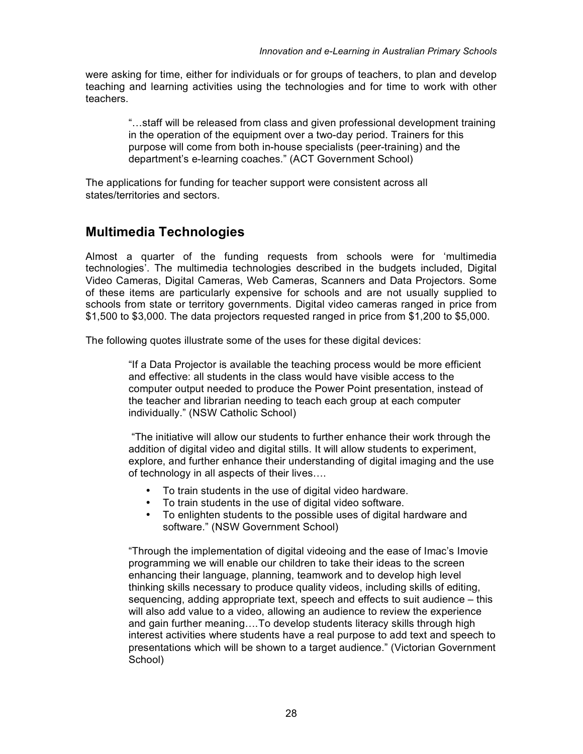were asking for time, either for individuals or for groups of teachers, to plan and develop teaching and learning activities using the technologies and for time to work with other teachers.

> "…staff will be released from class and given professional development training in the operation of the equipment over a two-day period. Trainers for this purpose will come from both in-house specialists (peer-training) and the department's e-learning coaches." (ACT Government School)

The applications for funding for teacher support were consistent across all states/territories and sectors.

#### **Multimedia Technologies**

Almost a quarter of the funding requests from schools were for 'multimedia technologies'. The multimedia technologies described in the budgets included, Digital Video Cameras, Digital Cameras, Web Cameras, Scanners and Data Projectors. Some of these items are particularly expensive for schools and are not usually supplied to schools from state or territory governments. Digital video cameras ranged in price from \$1,500 to \$3,000. The data projectors requested ranged in price from \$1,200 to \$5,000.

The following quotes illustrate some of the uses for these digital devices:

"If a Data Projector is available the teaching process would be more efficient and effective: all students in the class would have visible access to the computer output needed to produce the Power Point presentation, instead of the teacher and librarian needing to teach each group at each computer individually." (NSW Catholic School)

"The initiative will allow our students to further enhance their work through the addition of digital video and digital stills. It will allow students to experiment, explore, and further enhance their understanding of digital imaging and the use of technology in all aspects of their lives….

- To train students in the use of digital video hardware.
- To train students in the use of digital video software.
- To enlighten students to the possible uses of digital hardware and software." (NSW Government School)

"Through the implementation of digital videoing and the ease of Imac's Imovie programming we will enable our children to take their ideas to the screen enhancing their language, planning, teamwork and to develop high level thinking skills necessary to produce quality videos, including skills of editing, sequencing, adding appropriate text, speech and effects to suit audience – this will also add value to a video, allowing an audience to review the experience and gain further meaning….To develop students literacy skills through high interest activities where students have a real purpose to add text and speech to presentations which will be shown to a target audience." (Victorian Government School)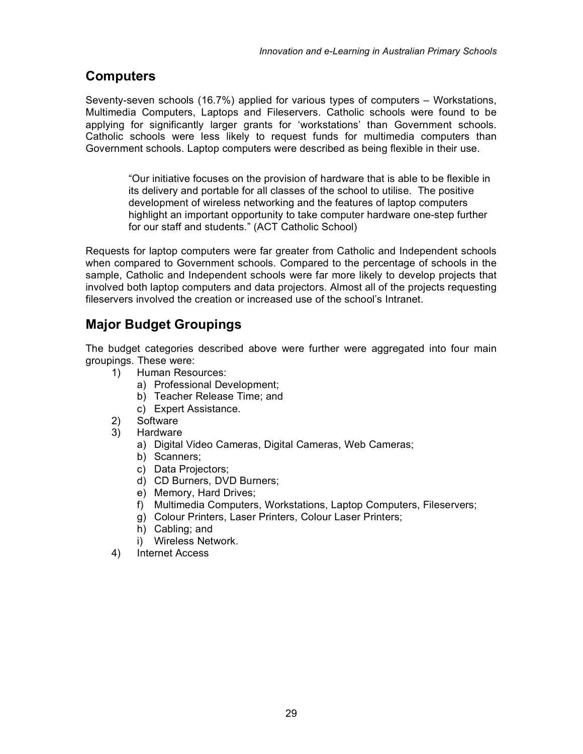#### **Computers**

Seventy-seven schools (16.7%) applied for various types of computers – Workstations, Multimedia Computers, Laptops and Fileservers. Catholic schools were found to be applying for significantly larger grants for 'workstations' than Government schools. Catholic schools were less likely to request funds for multimedia computers than Government schools. Laptop computers were described as being flexible in their use.

> "Our initiative focuses on the provision of hardware that is able to be flexible in its delivery and portable for all classes of the school to utilise. The positive development of wireless networking and the features of laptop computers highlight an important opportunity to take computer hardware one-step further for our staff and students." (ACT Catholic School)

Requests for laptop computers were far greater from Catholic and Independent schools when compared to Government schools. Compared to the percentage of schools in the sample, Catholic and Independent schools were far more likely to develop projects that involved both laptop computers and data projectors. Almost all of the projects requesting fileservers involved the creation or increased use of the school's Intranet.

#### **Major Budget Groupings**

The budget categories described above were further were aggregated into four main groupings. These were:

- 1) Human Resources:
	- a) Professional Development;
	- b) Teacher Release Time; and
	- c) Expert Assistance.
- 2) Software
- 3) Hardware
	- a) Digital Video Cameras, Digital Cameras, Web Cameras;
	- b) Scanners;
	- c) Data Projectors;
	- d) CD Burners, DVD Burners;
	- e) Memory, Hard Drives;
	- f) Multimedia Computers, Workstations, Laptop Computers, Fileservers;
	- g) Colour Printers, Laser Printers, Colour Laser Printers;
	- h) Cabling; and
	- i) Wireless Network.
- 4) Internet Access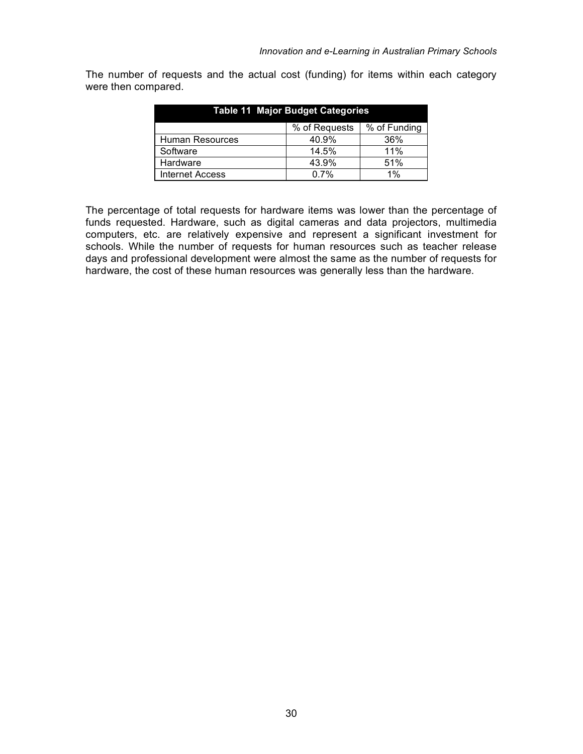The number of requests and the actual cost (funding) for items within each category were then compared.

| <b>Table 11 Major Budget Categories</b> |               |              |  |
|-----------------------------------------|---------------|--------------|--|
|                                         | % of Requests | % of Funding |  |
| Human Resources                         | 40.9%         | 36%          |  |
| Software                                | 14.5%         | 11%          |  |
| Hardware                                | 43.9%         | 51%          |  |
| <b>Internet Access</b>                  | 0.7%          | $1\%$        |  |

The percentage of total requests for hardware items was lower than the percentage of funds requested. Hardware, such as digital cameras and data projectors, multimedia computers, etc. are relatively expensive and represent a significant investment for schools. While the number of requests for human resources such as teacher release days and professional development were almost the same as the number of requests for hardware, the cost of these human resources was generally less than the hardware.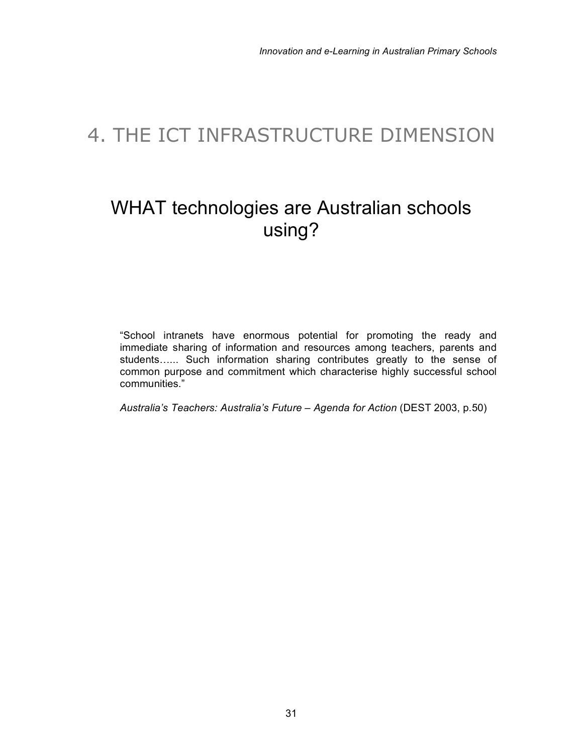## 4. THE ICT INFRASTRUCTURE DIMENSION

## WHAT technologies are Australian schools using?

"School intranets have enormous potential for promoting the ready and immediate sharing of information and resources among teachers, parents and students…... Such information sharing contributes greatly to the sense of common purpose and commitment which characterise highly successful school communities."

*Australia's Teachers: Australia's Future – Agenda for Action* (DEST 2003, p.50)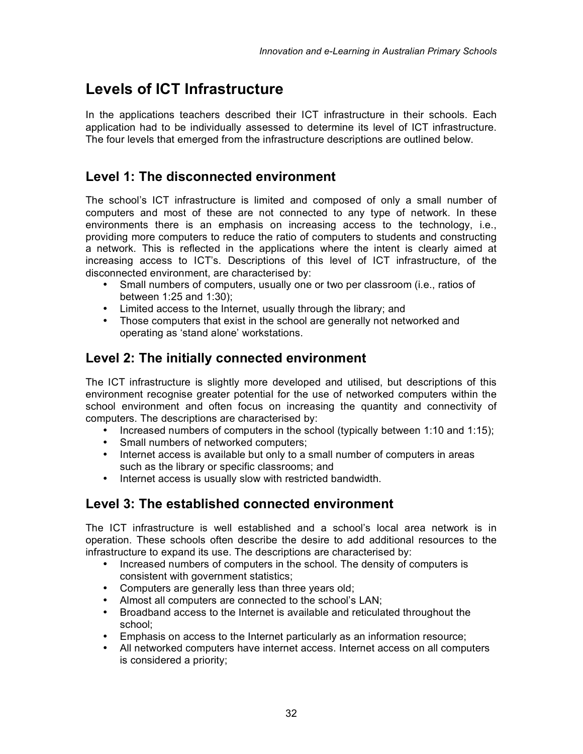## **Levels of ICT Infrastructure**

In the applications teachers described their ICT infrastructure in their schools. Each application had to be individually assessed to determine its level of ICT infrastructure. The four levels that emerged from the infrastructure descriptions are outlined below.

#### **Level 1: The disconnected environment**

The school's ICT infrastructure is limited and composed of only a small number of computers and most of these are not connected to any type of network. In these environments there is an emphasis on increasing access to the technology, i.e., providing more computers to reduce the ratio of computers to students and constructing a network. This is reflected in the applications where the intent is clearly aimed at increasing access to ICT's. Descriptions of this level of ICT infrastructure, of the disconnected environment, are characterised by:

- Small numbers of computers, usually one or two per classroom (i.e., ratios of between 1:25 and 1:30);
- Limited access to the Internet, usually through the library; and
- Those computers that exist in the school are generally not networked and operating as 'stand alone' workstations.

#### **Level 2: The initially connected environment**

The ICT infrastructure is slightly more developed and utilised, but descriptions of this environment recognise greater potential for the use of networked computers within the school environment and often focus on increasing the quantity and connectivity of computers. The descriptions are characterised by:

- Increased numbers of computers in the school (typically between 1:10 and 1:15);
- Small numbers of networked computers;
- Internet access is available but only to a small number of computers in areas such as the library or specific classrooms; and
- Internet access is usually slow with restricted bandwidth.

#### **Level 3: The established connected environment**

The ICT infrastructure is well established and a school's local area network is in operation. These schools often describe the desire to add additional resources to the infrastructure to expand its use. The descriptions are characterised by:

- Increased numbers of computers in the school. The density of computers is consistent with government statistics;
- Computers are generally less than three years old;
- Almost all computers are connected to the school's LAN;
- Broadband access to the Internet is available and reticulated throughout the school;
- Emphasis on access to the Internet particularly as an information resource;
- All networked computers have internet access. Internet access on all computers is considered a priority;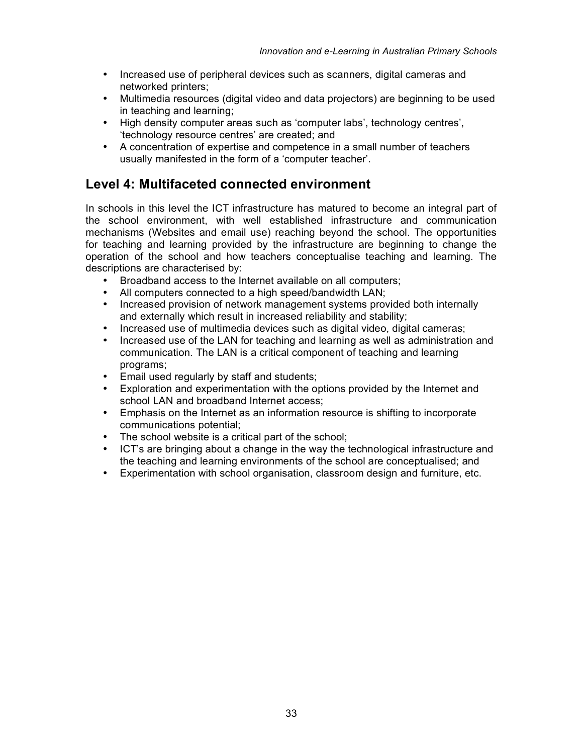- Increased use of peripheral devices such as scanners, digital cameras and networked printers;
- Multimedia resources (digital video and data projectors) are beginning to be used in teaching and learning;
- High density computer areas such as 'computer labs', technology centres', 'technology resource centres' are created; and
- A concentration of expertise and competence in a small number of teachers usually manifested in the form of a 'computer teacher'.

#### **Level 4: Multifaceted connected environment**

In schools in this level the ICT infrastructure has matured to become an integral part of the school environment, with well established infrastructure and communication mechanisms (Websites and email use) reaching beyond the school. The opportunities for teaching and learning provided by the infrastructure are beginning to change the operation of the school and how teachers conceptualise teaching and learning. The descriptions are characterised by:

- Broadband access to the Internet available on all computers;
- All computers connected to a high speed/bandwidth LAN;
- Increased provision of network management systems provided both internally and externally which result in increased reliability and stability;
- Increased use of multimedia devices such as digital video, digital cameras;
- Increased use of the LAN for teaching and learning as well as administration and communication. The LAN is a critical component of teaching and learning programs;
- Email used regularly by staff and students;
- Exploration and experimentation with the options provided by the Internet and school LAN and broadband Internet access;
- Emphasis on the Internet as an information resource is shifting to incorporate communications potential;
- The school website is a critical part of the school;
- ICT's are bringing about a change in the way the technological infrastructure and the teaching and learning environments of the school are conceptualised; and
- Experimentation with school organisation, classroom design and furniture, etc.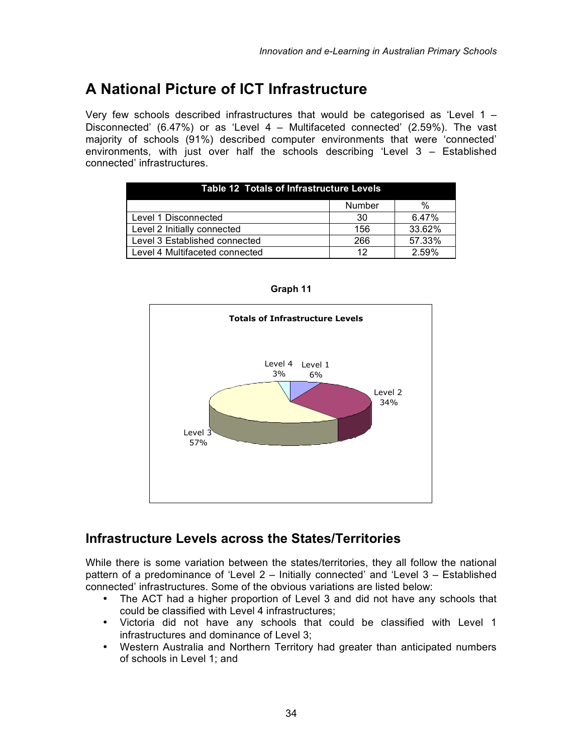## **A National Picture of ICT Infrastructure**

Very few schools described infrastructures that would be categorised as 'Level  $1 -$ Disconnected' (6.47%) or as 'Level 4 – Multifaceted connected' (2.59%). The vast majority of schools (91%) described computer environments that were 'connected' environments, with just over half the schools describing 'Level 3 – Established connected' infrastructures.

| Table 12 Totals of Infrastructure Levels |               |        |  |
|------------------------------------------|---------------|--------|--|
|                                          | <b>Number</b> | %      |  |
| Level 1 Disconnected                     | -30           | 6.47%  |  |
| Level 2 Initially connected              | 156           | 33.62% |  |
| Level 3 Established connected            | 266           | 57.33% |  |
| Level 4 Multifaceted connected           | 12            | 2.59%  |  |



**Graph 11**

#### **Infrastructure Levels across the States/Territories**

While there is some variation between the states/territories, they all follow the national pattern of a predominance of 'Level 2 – Initially connected' and 'Level 3 – Established connected' infrastructures. Some of the obvious variations are listed below:

- The ACT had a higher proportion of Level 3 and did not have any schools that could be classified with Level 4 infrastructures;
- Victoria did not have any schools that could be classified with Level 1 infrastructures and dominance of Level 3;
- Western Australia and Northern Territory had greater than anticipated numbers of schools in Level 1; and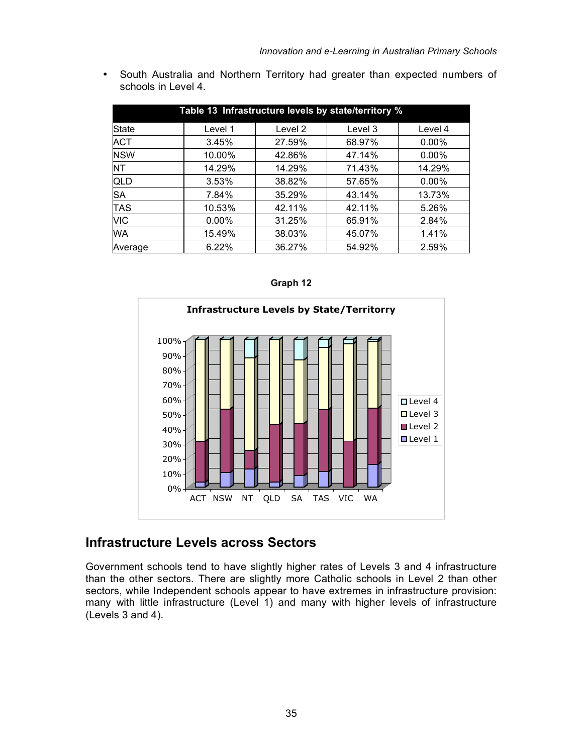• South Australia and Northern Territory had greater than expected numbers of schools in Level 4.

| Table 13 Infrastructure levels by state/territory % |          |         |         |          |  |
|-----------------------------------------------------|----------|---------|---------|----------|--|
| <b>State</b>                                        | Level 1  | Level 2 | Level 3 | Level 4  |  |
| <b>ACT</b>                                          | 3.45%    | 27.59%  | 68.97%  | $0.00\%$ |  |
| <b>NSW</b>                                          | 10.00%   | 42.86%  | 47.14%  | $0.00\%$ |  |
| <b>NT</b>                                           | 14.29%   | 14.29%  | 71.43%  | 14.29%   |  |
| QLD                                                 | 3.53%    | 38.82%  | 57.65%  | $0.00\%$ |  |
| <b>SA</b>                                           | 7.84%    | 35.29%  | 43.14%  | 13.73%   |  |
| <b>TAS</b>                                          | 10.53%   | 42.11%  | 42.11%  | 5.26%    |  |
| <b>VIC</b>                                          | $0.00\%$ | 31.25%  | 65.91%  | 2.84%    |  |
| <b>WA</b>                                           | 15.49%   | 38.03%  | 45.07%  | 1.41%    |  |
| Average                                             | 6.22%    | 36.27%  | 54.92%  | 2.59%    |  |

| <b>Infrastructure Levels by State/Territorry</b>                                                                                                                                                 |
|--------------------------------------------------------------------------------------------------------------------------------------------------------------------------------------------------|
| 100%<br>90%<br>80%<br>70%<br>60%<br>□ Level 4<br>□ Level 3<br>50%<br>Level 2<br>40%<br><b>Level 1</b><br>30%<br>20%<br>10%<br>0%<br><b>ACT NSW</b><br>SA<br><b>TAS</b><br>VIC<br>NT<br>WA<br>QLD |

#### **Graph 12**

#### **Infrastructure Levels across Sectors**

Government schools tend to have slightly higher rates of Levels 3 and 4 infrastructure than the other sectors. There are slightly more Catholic schools in Level 2 than other sectors, while Independent schools appear to have extremes in infrastructure provision: many with little infrastructure (Level 1) and many with higher levels of infrastructure (Levels 3 and 4).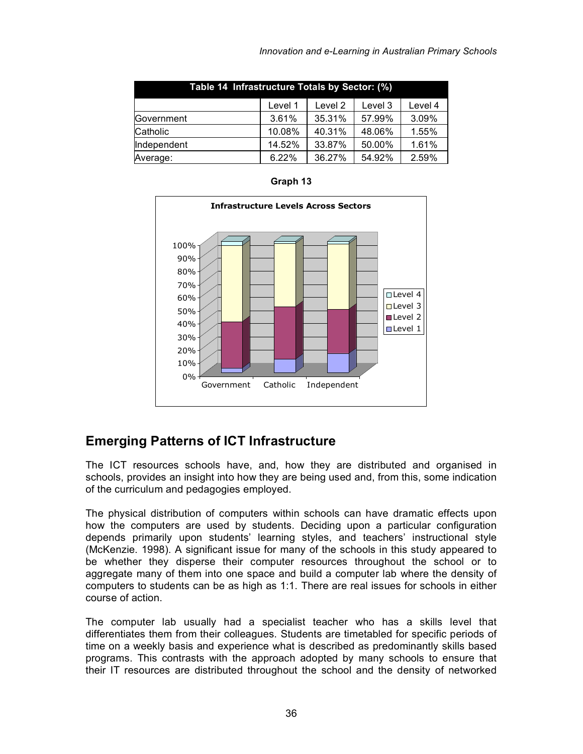| Table 14 Infrastructure Totals by Sector: (%)  |        |        |        |       |  |  |
|------------------------------------------------|--------|--------|--------|-------|--|--|
| Level 1<br>Level 4<br>Level 2<br>Level 3       |        |        |        |       |  |  |
| Government                                     | 3.61%  | 35.31% | 57.99% | 3.09% |  |  |
| Catholic                                       | 10.08% | 40.31% | 48.06% | 1.55% |  |  |
| Independent                                    | 14.52% | 33.87% | 50.00% | 1.61% |  |  |
| 36.27%<br>54.92%<br>2.59%<br>6.22%<br>Average: |        |        |        |       |  |  |

**Graph 13**



#### **Emerging Patterns of ICT Infrastructure**

The ICT resources schools have, and, how they are distributed and organised in schools, provides an insight into how they are being used and, from this, some indication of the curriculum and pedagogies employed.

The physical distribution of computers within schools can have dramatic effects upon how the computers are used by students. Deciding upon a particular configuration depends primarily upon students' learning styles, and teachers' instructional style (McKenzie. 1998). A significant issue for many of the schools in this study appeared to be whether they disperse their computer resources throughout the school or to aggregate many of them into one space and build a computer lab where the density of computers to students can be as high as 1:1. There are real issues for schools in either course of action.

The computer lab usually had a specialist teacher who has a skills level that differentiates them from their colleagues. Students are timetabled for specific periods of time on a weekly basis and experience what is described as predominantly skills based programs. This contrasts with the approach adopted by many schools to ensure that their IT resources are distributed throughout the school and the density of networked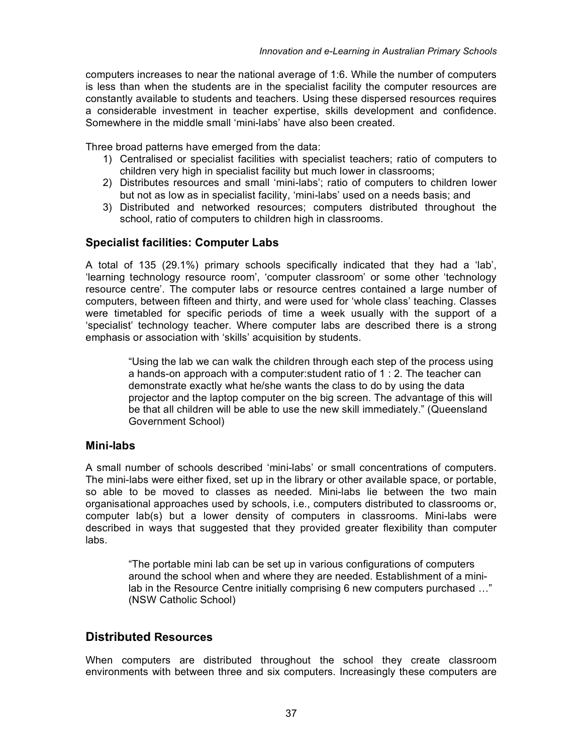computers increases to near the national average of 1:6. While the number of computers is less than when the students are in the specialist facility the computer resources are constantly available to students and teachers. Using these dispersed resources requires a considerable investment in teacher expertise, skills development and confidence. Somewhere in the middle small 'mini-labs' have also been created.

Three broad patterns have emerged from the data:

- 1) Centralised or specialist facilities with specialist teachers; ratio of computers to children very high in specialist facility but much lower in classrooms;
- 2) Distributes resources and small 'mini-labs'; ratio of computers to children lower but not as low as in specialist facility, 'mini-labs' used on a needs basis; and
- 3) Distributed and networked resources; computers distributed throughout the school, ratio of computers to children high in classrooms.

#### **Specialist facilities: Computer Labs**

A total of 135 (29.1%) primary schools specifically indicated that they had a 'lab', 'learning technology resource room', 'computer classroom' or some other 'technology resource centre'. The computer labs or resource centres contained a large number of computers, between fifteen and thirty, and were used for 'whole class' teaching. Classes were timetabled for specific periods of time a week usually with the support of a 'specialist' technology teacher. Where computer labs are described there is a strong emphasis or association with 'skills' acquisition by students.

> "Using the lab we can walk the children through each step of the process using a hands-on approach with a computer:student ratio of 1 : 2. The teacher can demonstrate exactly what he/she wants the class to do by using the data projector and the laptop computer on the big screen. The advantage of this will be that all children will be able to use the new skill immediately." (Queensland Government School)

#### **Mini-labs**

A small number of schools described 'mini-labs' or small concentrations of computers. The mini-labs were either fixed, set up in the library or other available space, or portable, so able to be moved to classes as needed. Mini-labs lie between the two main organisational approaches used by schools, i.e., computers distributed to classrooms or, computer lab(s) but a lower density of computers in classrooms. Mini-labs were described in ways that suggested that they provided greater flexibility than computer labs.

> "The portable mini lab can be set up in various configurations of computers around the school when and where they are needed. Establishment of a minilab in the Resource Centre initially comprising 6 new computers purchased …" (NSW Catholic School)

#### **Distributed Resources**

When computers are distributed throughout the school they create classroom environments with between three and six computers. Increasingly these computers are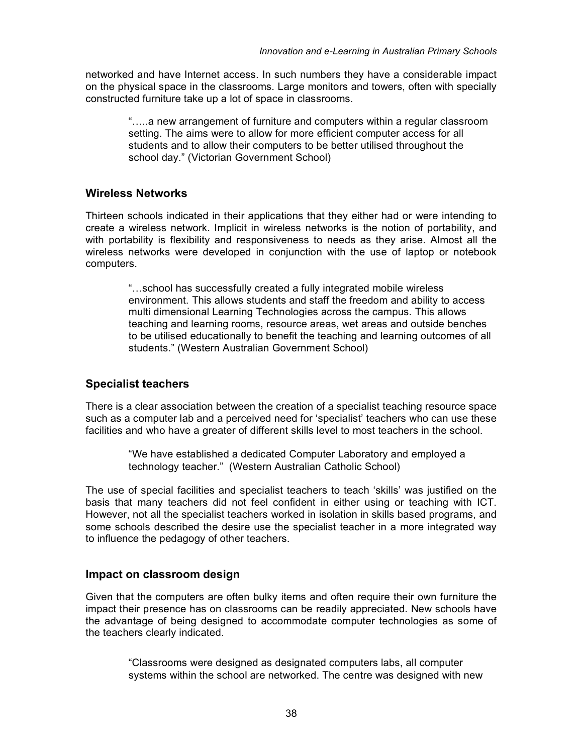networked and have Internet access. In such numbers they have a considerable impact on the physical space in the classrooms. Large monitors and towers, often with specially constructed furniture take up a lot of space in classrooms.

> "…..a new arrangement of furniture and computers within a regular classroom setting. The aims were to allow for more efficient computer access for all students and to allow their computers to be better utilised throughout the school day." (Victorian Government School)

#### **Wireless Networks**

Thirteen schools indicated in their applications that they either had or were intending to create a wireless network. Implicit in wireless networks is the notion of portability, and with portability is flexibility and responsiveness to needs as they arise. Almost all the wireless networks were developed in conjunction with the use of laptop or notebook computers.

"…school has successfully created a fully integrated mobile wireless environment. This allows students and staff the freedom and ability to access multi dimensional Learning Technologies across the campus. This allows teaching and learning rooms, resource areas, wet areas and outside benches to be utilised educationally to benefit the teaching and learning outcomes of all students." (Western Australian Government School)

#### **Specialist teachers**

There is a clear association between the creation of a specialist teaching resource space such as a computer lab and a perceived need for 'specialist' teachers who can use these facilities and who have a greater of different skills level to most teachers in the school.

> "We have established a dedicated Computer Laboratory and employed a technology teacher." (Western Australian Catholic School)

The use of special facilities and specialist teachers to teach 'skills' was justified on the basis that many teachers did not feel confident in either using or teaching with ICT. However, not all the specialist teachers worked in isolation in skills based programs, and some schools described the desire use the specialist teacher in a more integrated way to influence the pedagogy of other teachers.

#### **Impact on classroom design**

Given that the computers are often bulky items and often require their own furniture the impact their presence has on classrooms can be readily appreciated. New schools have the advantage of being designed to accommodate computer technologies as some of the teachers clearly indicated.

"Classrooms were designed as designated computers labs, all computer systems within the school are networked. The centre was designed with new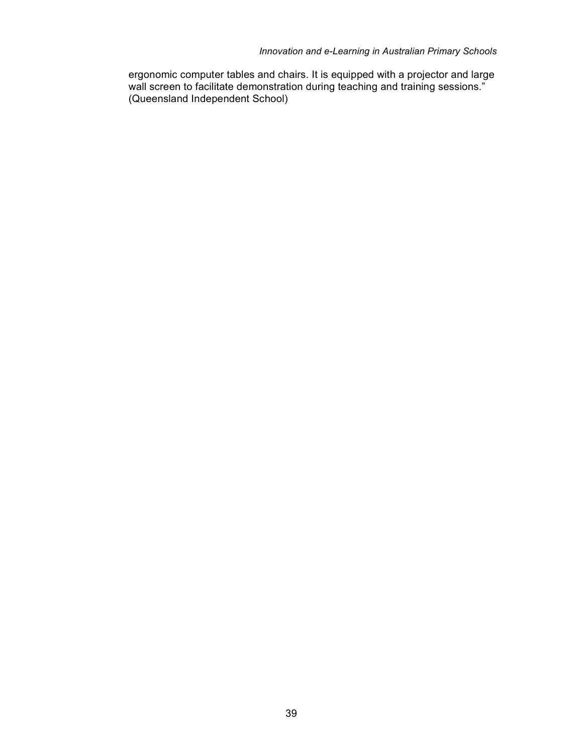ergonomic computer tables and chairs. It is equipped with a projector and large wall screen to facilitate demonstration during teaching and training sessions." (Queensland Independent School)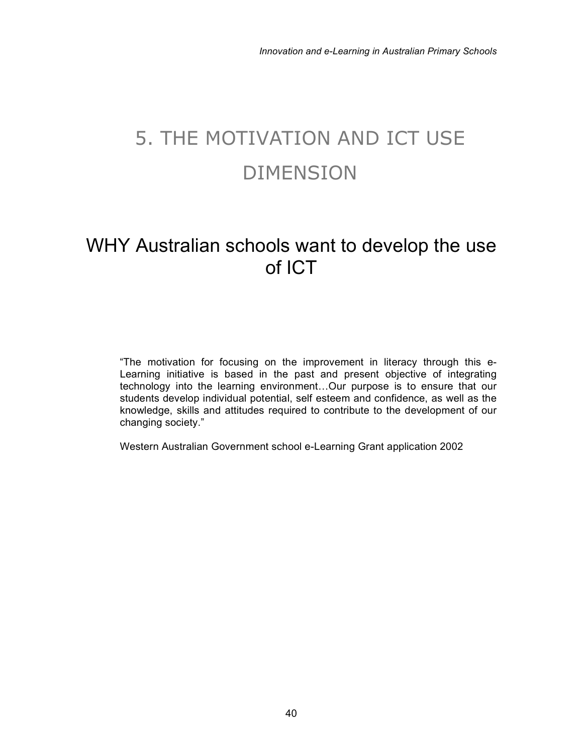# 5. THE MOTIVATION AND ICT USE DIMENSION

## WHY Australian schools want to develop the use of ICT

"The motivation for focusing on the improvement in literacy through this e-Learning initiative is based in the past and present objective of integrating technology into the learning environment…Our purpose is to ensure that our students develop individual potential, self esteem and confidence, as well as the knowledge, skills and attitudes required to contribute to the development of our changing society."

Western Australian Government school e-Learning Grant application 2002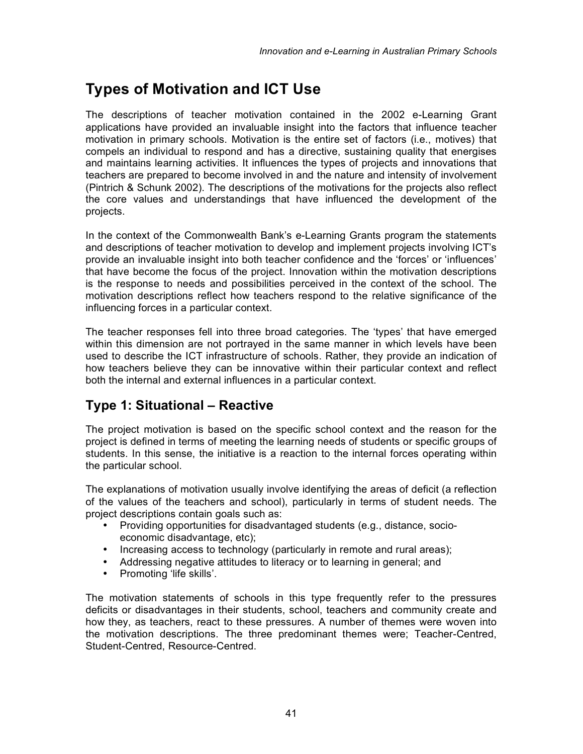## **Types of Motivation and ICT Use**

The descriptions of teacher motivation contained in the 2002 e-Learning Grant applications have provided an invaluable insight into the factors that influence teacher motivation in primary schools. Motivation is the entire set of factors (i.e., motives) that compels an individual to respond and has a directive, sustaining quality that energises and maintains learning activities. It influences the types of projects and innovations that teachers are prepared to become involved in and the nature and intensity of involvement (Pintrich & Schunk 2002). The descriptions of the motivations for the projects also reflect the core values and understandings that have influenced the development of the projects.

In the context of the Commonwealth Bank's e-Learning Grants program the statements and descriptions of teacher motivation to develop and implement projects involving ICT's provide an invaluable insight into both teacher confidence and the 'forces' or 'influences' that have become the focus of the project. Innovation within the motivation descriptions is the response to needs and possibilities perceived in the context of the school. The motivation descriptions reflect how teachers respond to the relative significance of the influencing forces in a particular context.

The teacher responses fell into three broad categories. The 'types' that have emerged within this dimension are not portrayed in the same manner in which levels have been used to describe the ICT infrastructure of schools. Rather, they provide an indication of how teachers believe they can be innovative within their particular context and reflect both the internal and external influences in a particular context.

### **Type 1: Situational – Reactive**

The project motivation is based on the specific school context and the reason for the project is defined in terms of meeting the learning needs of students or specific groups of students. In this sense, the initiative is a reaction to the internal forces operating within the particular school.

The explanations of motivation usually involve identifying the areas of deficit (a reflection of the values of the teachers and school), particularly in terms of student needs. The project descriptions contain goals such as:

- Providing opportunities for disadvantaged students (e.g., distance, socioeconomic disadvantage, etc);
- Increasing access to technology (particularly in remote and rural areas);
- Addressing negative attitudes to literacy or to learning in general; and
- Promoting 'life skills'.

The motivation statements of schools in this type frequently refer to the pressures deficits or disadvantages in their students, school, teachers and community create and how they, as teachers, react to these pressures. A number of themes were woven into the motivation descriptions. The three predominant themes were; Teacher-Centred, Student-Centred, Resource-Centred.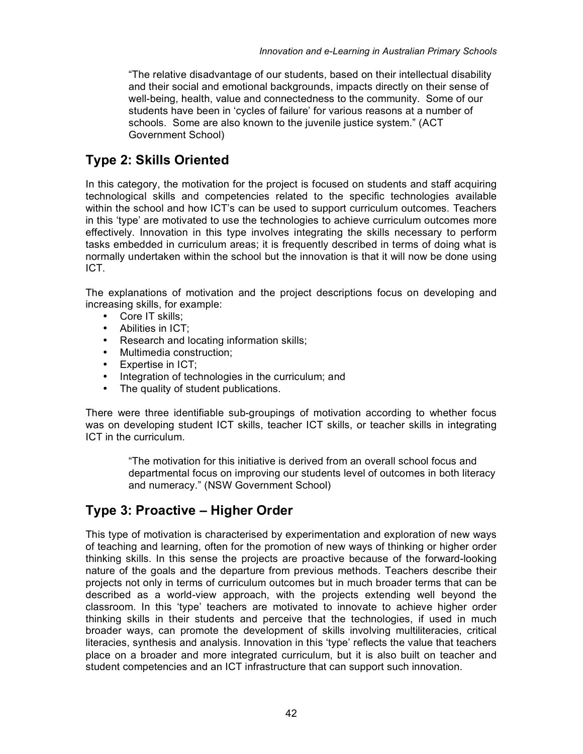"The relative disadvantage of our students, based on their intellectual disability and their social and emotional backgrounds, impacts directly on their sense of well-being, health, value and connectedness to the community. Some of our students have been in 'cycles of failure' for various reasons at a number of schools. Some are also known to the juvenile justice system." (ACT Government School)

### **Type 2: Skills Oriented**

In this category, the motivation for the project is focused on students and staff acquiring technological skills and competencies related to the specific technologies available within the school and how ICT's can be used to support curriculum outcomes. Teachers in this 'type' are motivated to use the technologies to achieve curriculum outcomes more effectively. Innovation in this type involves integrating the skills necessary to perform tasks embedded in curriculum areas; it is frequently described in terms of doing what is normally undertaken within the school but the innovation is that it will now be done using ICT.

The explanations of motivation and the project descriptions focus on developing and increasing skills, for example:

- Core IT skills:
- Abilities in ICT;
- Research and locating information skills;
- Multimedia construction;
- Expertise in ICT;
- Integration of technologies in the curriculum; and<br>• The quality of student publications.
- The quality of student publications.

There were three identifiable sub-groupings of motivation according to whether focus was on developing student ICT skills, teacher ICT skills, or teacher skills in integrating ICT in the curriculum.

> "The motivation for this initiative is derived from an overall school focus and departmental focus on improving our students level of outcomes in both literacy and numeracy." (NSW Government School)

#### **Type 3: Proactive – Higher Order**

This type of motivation is characterised by experimentation and exploration of new ways of teaching and learning, often for the promotion of new ways of thinking or higher order thinking skills. In this sense the projects are proactive because of the forward-looking nature of the goals and the departure from previous methods. Teachers describe their projects not only in terms of curriculum outcomes but in much broader terms that can be described as a world-view approach, with the projects extending well beyond the classroom. In this 'type' teachers are motivated to innovate to achieve higher order thinking skills in their students and perceive that the technologies, if used in much broader ways, can promote the development of skills involving multiliteracies, critical literacies, synthesis and analysis. Innovation in this 'type' reflects the value that teachers place on a broader and more integrated curriculum, but it is also built on teacher and student competencies and an ICT infrastructure that can support such innovation.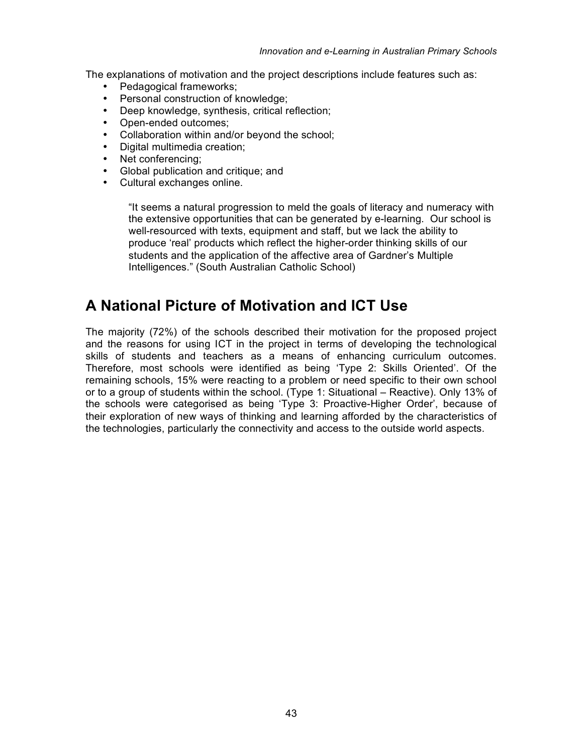The explanations of motivation and the project descriptions include features such as:

- Pedagogical frameworks;
- Personal construction of knowledge;
- Deep knowledge, synthesis, critical reflection;
- Open-ended outcomes;
- Collaboration within and/or beyond the school;
- Digital multimedia creation;
- Net conferencing;
- Global publication and critique; and
- Cultural exchanges online.

"It seems a natural progression to meld the goals of literacy and numeracy with the extensive opportunities that can be generated by e-learning. Our school is well-resourced with texts, equipment and staff, but we lack the ability to produce 'real' products which reflect the higher-order thinking skills of our students and the application of the affective area of Gardner's Multiple Intelligences." (South Australian Catholic School)

### **A National Picture of Motivation and ICT Use**

The majority (72%) of the schools described their motivation for the proposed project and the reasons for using ICT in the project in terms of developing the technological skills of students and teachers as a means of enhancing curriculum outcomes. Therefore, most schools were identified as being 'Type 2: Skills Oriented'. Of the remaining schools, 15% were reacting to a problem or need specific to their own school or to a group of students within the school. (Type 1: Situational – Reactive). Only 13% of the schools were categorised as being 'Type 3: Proactive-Higher Order', because of their exploration of new ways of thinking and learning afforded by the characteristics of the technologies, particularly the connectivity and access to the outside world aspects.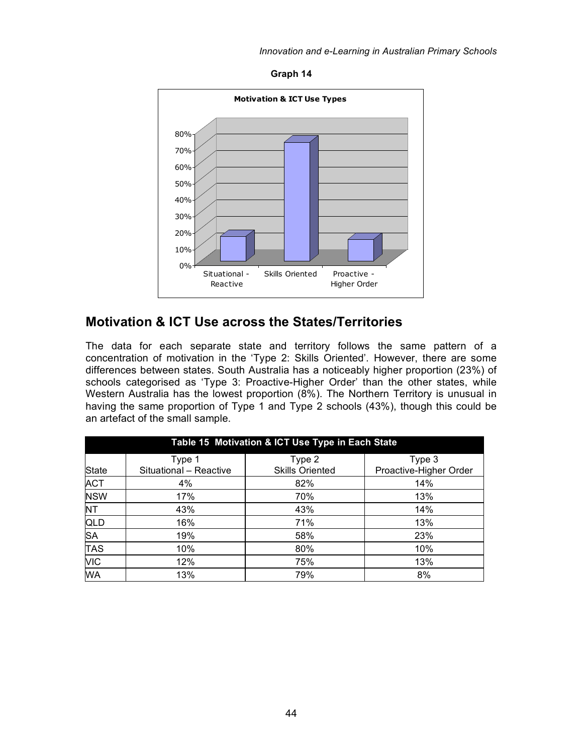**Graph 14**



#### **Motivation & ICT Use across the States/Territories**

The data for each separate state and territory follows the same pattern of a concentration of motivation in the 'Type 2: Skills Oriented'. However, there are some differences between states. South Australia has a noticeably higher proportion (23%) of schools categorised as 'Type 3: Proactive-Higher Order' than the other states, while Western Australia has the lowest proportion (8%). The Northern Territory is unusual in having the same proportion of Type 1 and Type 2 schools (43%), though this could be an artefact of the small sample.

| Table 15 Motivation & ICT Use Type in Each State |                        |                        |                        |  |
|--------------------------------------------------|------------------------|------------------------|------------------------|--|
|                                                  | Type 1                 | Type 2                 | Type 3                 |  |
| <b>State</b>                                     | Situational - Reactive | <b>Skills Oriented</b> | Proactive-Higher Order |  |
| <b>ACT</b>                                       | 4%                     | 82%                    | 14%                    |  |
| <b>NSW</b>                                       | 17%                    | 70%                    | 13%                    |  |
| <b>NT</b>                                        | 43%                    | 43%                    | 14%                    |  |
| QLD                                              | 16%                    | 71%                    | 13%                    |  |
| <b>SA</b>                                        | 19%                    | 58%                    | 23%                    |  |
| <b>TAS</b>                                       | 10%                    | 80%                    | 10%                    |  |
| <b>VIC</b>                                       | 12%                    | 75%                    | 13%                    |  |
| <b>WA</b>                                        | 13%                    | 79%                    | 8%                     |  |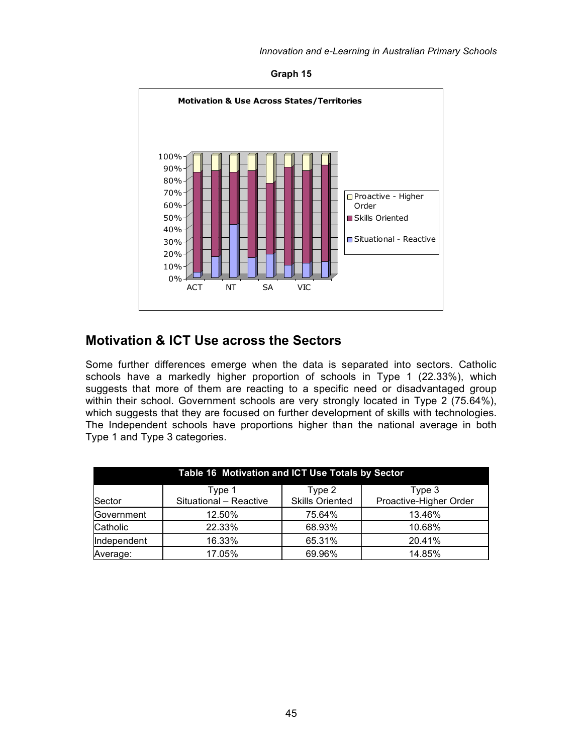**Graph 15**



#### **Motivation & ICT Use across the Sectors**

Some further differences emerge when the data is separated into sectors. Catholic schools have a markedly higher proportion of schools in Type 1 (22.33%), which suggests that more of them are reacting to a specific need or disadvantaged group within their school. Government schools are very strongly located in Type 2 (75.64%), which suggests that they are focused on further development of skills with technologies. The Independent schools have proportions higher than the national average in both Type 1 and Type 3 categories.

| Table 16 Motivation and ICT Use Totals by Sector |                        |                        |                        |  |  |  |
|--------------------------------------------------|------------------------|------------------------|------------------------|--|--|--|
| Type 3<br>Type 2<br>Type 1                       |                        |                        |                        |  |  |  |
| Sector                                           | Situational - Reactive | <b>Skills Oriented</b> | Proactive-Higher Order |  |  |  |
| Government                                       | 12.50%                 | 75.64%                 | 13.46%                 |  |  |  |
| Catholic                                         | 22.33%                 | 68.93%                 | 10.68%                 |  |  |  |
| Independent                                      | 16.33%                 | 65.31%                 | 20.41%                 |  |  |  |
| Average:                                         | 17.05%                 | 69.96%                 | 14.85%                 |  |  |  |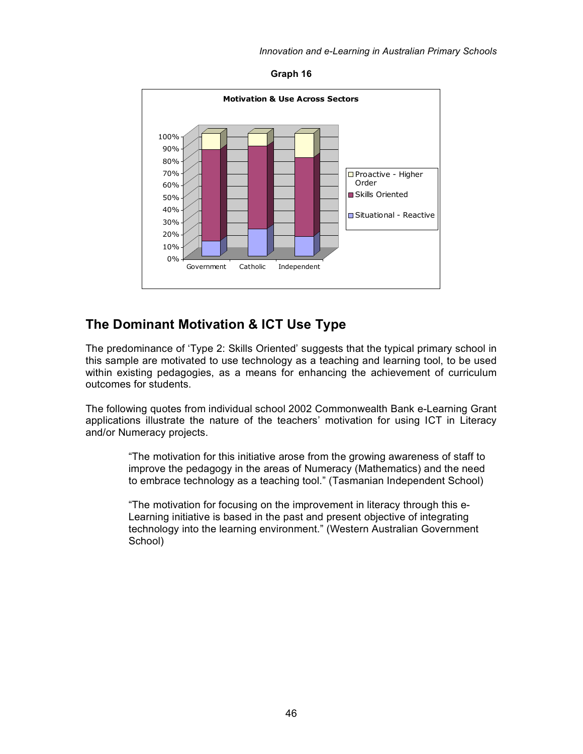



#### **The Dominant Motivation & ICT Use Type**

The predominance of 'Type 2: Skills Oriented' suggests that the typical primary school in this sample are motivated to use technology as a teaching and learning tool, to be used within existing pedagogies, as a means for enhancing the achievement of curriculum outcomes for students.

The following quotes from individual school 2002 Commonwealth Bank e-Learning Grant applications illustrate the nature of the teachers' motivation for using ICT in Literacy and/or Numeracy projects.

> "The motivation for this initiative arose from the growing awareness of staff to improve the pedagogy in the areas of Numeracy (Mathematics) and the need to embrace technology as a teaching tool." (Tasmanian Independent School)

"The motivation for focusing on the improvement in literacy through this e-Learning initiative is based in the past and present objective of integrating technology into the learning environment." (Western Australian Government School)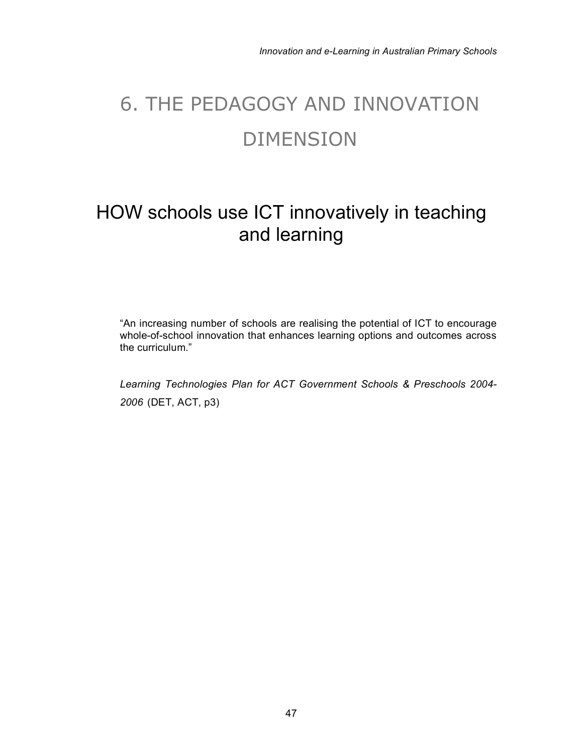# 6. THE PEDAGOGY AND INNOVATION DIMENSION

## HOW schools use ICT innovatively in teaching and learning

"An increasing number of schools are realising the potential of ICT to encourage whole-of-school innovation that enhances learning options and outcomes across the curriculum."

*Learning Technologies Plan for ACT Government Schools & Preschools 2004- 2006* (DET, ACT, p3)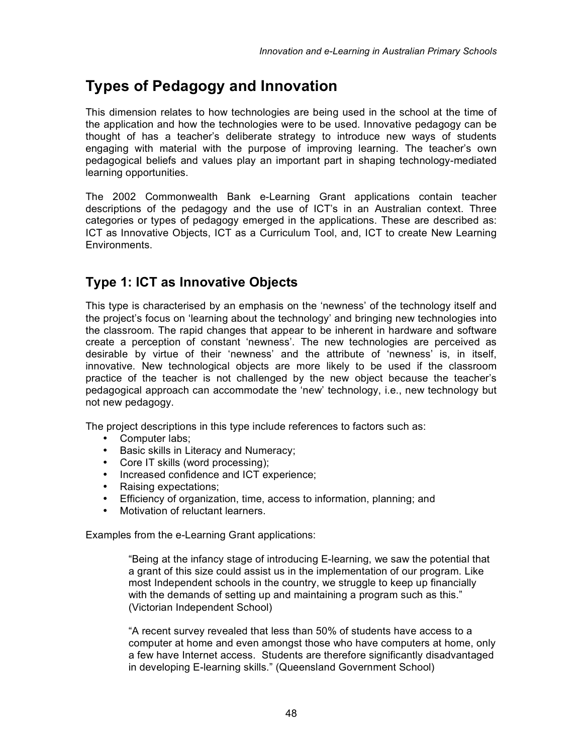## **Types of Pedagogy and Innovation**

This dimension relates to how technologies are being used in the school at the time of the application and how the technologies were to be used. Innovative pedagogy can be thought of has a teacher's deliberate strategy to introduce new ways of students engaging with material with the purpose of improving learning. The teacher's own pedagogical beliefs and values play an important part in shaping technology-mediated learning opportunities.

The 2002 Commonwealth Bank e-Learning Grant applications contain teacher descriptions of the pedagogy and the use of ICT's in an Australian context. Three categories or types of pedagogy emerged in the applications. These are described as: ICT as Innovative Objects, ICT as a Curriculum Tool, and, ICT to create New Learning Environments.

### **Type 1: ICT as Innovative Objects**

This type is characterised by an emphasis on the 'newness' of the technology itself and the project's focus on 'learning about the technology' and bringing new technologies into the classroom. The rapid changes that appear to be inherent in hardware and software create a perception of constant 'newness'. The new technologies are perceived as desirable by virtue of their 'newness' and the attribute of 'newness' is, in itself, innovative. New technological objects are more likely to be used if the classroom practice of the teacher is not challenged by the new object because the teacher's pedagogical approach can accommodate the 'new' technology, i.e., new technology but not new pedagogy.

The project descriptions in this type include references to factors such as:

- Computer labs;
- Basic skills in Literacy and Numeracy;
- Core IT skills (word processing);
- Increased confidence and ICT experience;
- Raising expectations;
- Efficiency of organization, time, access to information, planning; and
- Motivation of reluctant learners.

Examples from the e-Learning Grant applications:

"Being at the infancy stage of introducing E-learning, we saw the potential that a grant of this size could assist us in the implementation of our program. Like most Independent schools in the country, we struggle to keep up financially with the demands of setting up and maintaining a program such as this." (Victorian Independent School)

"A recent survey revealed that less than 50% of students have access to a computer at home and even amongst those who have computers at home, only a few have Internet access. Students are therefore significantly disadvantaged in developing E-learning skills." (Queensland Government School)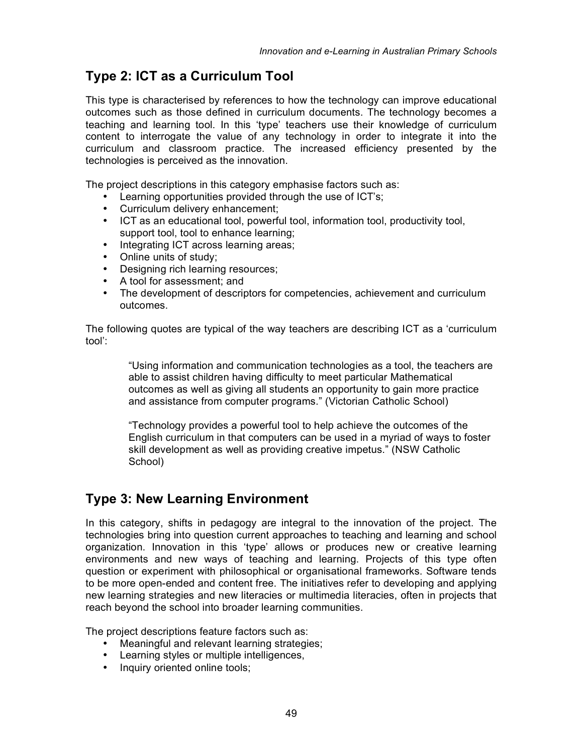#### **Type 2: ICT as a Curriculum Tool**

This type is characterised by references to how the technology can improve educational outcomes such as those defined in curriculum documents. The technology becomes a teaching and learning tool. In this 'type' teachers use their knowledge of curriculum content to interrogate the value of any technology in order to integrate it into the curriculum and classroom practice. The increased efficiency presented by the technologies is perceived as the innovation.

The project descriptions in this category emphasise factors such as:

- Learning opportunities provided through the use of ICT's;
- Curriculum delivery enhancement;
- ICT as an educational tool, powerful tool, information tool, productivity tool, support tool, tool to enhance learning;
- Integrating ICT across learning areas;
- Online units of study;
- Designing rich learning resources;
- A tool for assessment; and
- The development of descriptors for competencies, achievement and curriculum outcomes.

The following quotes are typical of the way teachers are describing ICT as a 'curriculum tool':

> "Using information and communication technologies as a tool, the teachers are able to assist children having difficulty to meet particular Mathematical outcomes as well as giving all students an opportunity to gain more practice and assistance from computer programs." (Victorian Catholic School)

> "Technology provides a powerful tool to help achieve the outcomes of the English curriculum in that computers can be used in a myriad of ways to foster skill development as well as providing creative impetus." (NSW Catholic School)

#### **Type 3: New Learning Environment**

In this category, shifts in pedagogy are integral to the innovation of the project. The technologies bring into question current approaches to teaching and learning and school organization. Innovation in this 'type' allows or produces new or creative learning environments and new ways of teaching and learning. Projects of this type often question or experiment with philosophical or organisational frameworks. Software tends to be more open-ended and content free. The initiatives refer to developing and applying new learning strategies and new literacies or multimedia literacies, often in projects that reach beyond the school into broader learning communities.

The project descriptions feature factors such as:

- Meaningful and relevant learning strategies;
- Learning styles or multiple intelligences,
- Inquiry oriented online tools;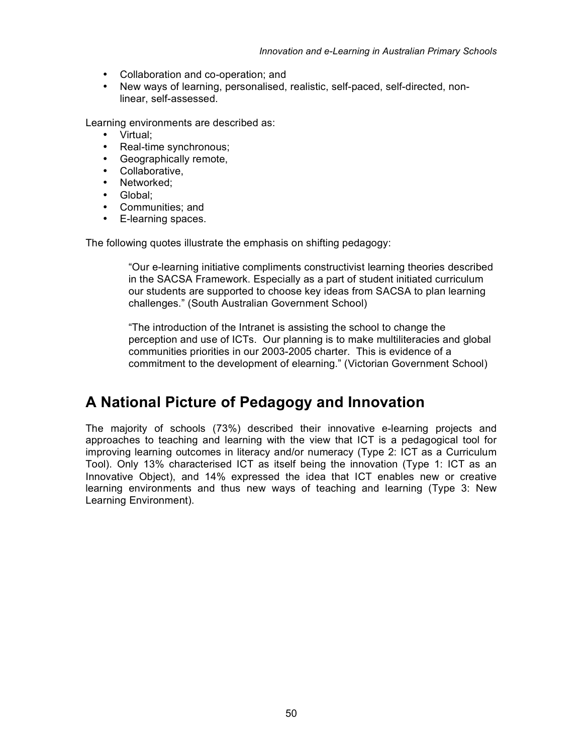- Collaboration and co-operation; and
- New ways of learning, personalised, realistic, self-paced, self-directed, nonlinear, self-assessed.

Learning environments are described as:

- Virtual;
- Real-time synchronous;
- Geographically remote,
- Collaborative,
- Networked:
- Global;
- Communities; and
- E-learning spaces.

The following quotes illustrate the emphasis on shifting pedagogy:

"Our e-learning initiative compliments constructivist learning theories described in the SACSA Framework. Especially as a part of student initiated curriculum our students are supported to choose key ideas from SACSA to plan learning challenges." (South Australian Government School)

"The introduction of the Intranet is assisting the school to change the perception and use of ICTs. Our planning is to make multiliteracies and global communities priorities in our 2003-2005 charter. This is evidence of a commitment to the development of elearning." (Victorian Government School)

### **A National Picture of Pedagogy and Innovation**

The majority of schools (73%) described their innovative e-learning projects and approaches to teaching and learning with the view that ICT is a pedagogical tool for improving learning outcomes in literacy and/or numeracy (Type 2: ICT as a Curriculum Tool). Only 13% characterised ICT as itself being the innovation (Type 1: ICT as an Innovative Object), and 14% expressed the idea that ICT enables new or creative learning environments and thus new ways of teaching and learning (Type 3: New Learning Environment).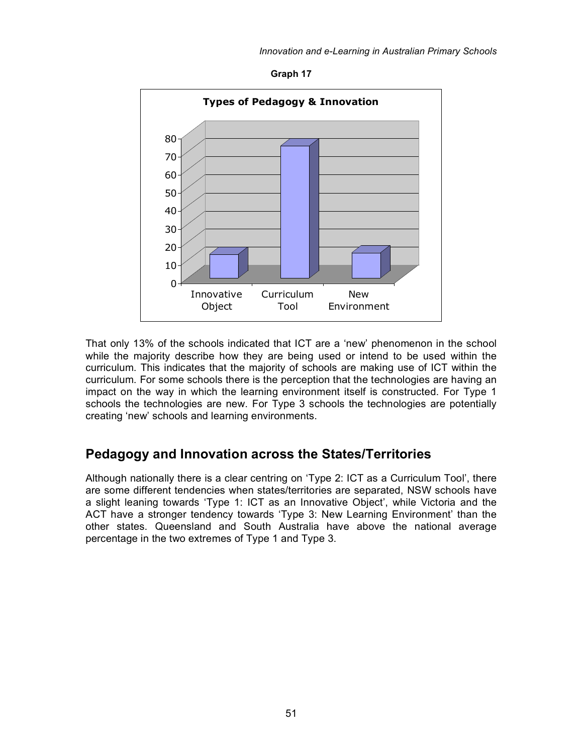**Graph 17**



That only 13% of the schools indicated that ICT are a 'new' phenomenon in the school while the majority describe how they are being used or intend to be used within the curriculum. This indicates that the majority of schools are making use of ICT within the curriculum. For some schools there is the perception that the technologies are having an impact on the way in which the learning environment itself is constructed. For Type 1 schools the technologies are new. For Type 3 schools the technologies are potentially creating 'new' schools and learning environments.

#### **Pedagogy and Innovation across the States/Territories**

Although nationally there is a clear centring on 'Type 2: ICT as a Curriculum Tool', there are some different tendencies when states/territories are separated, NSW schools have a slight leaning towards 'Type 1: ICT as an Innovative Object', while Victoria and the ACT have a stronger tendency towards 'Type 3: New Learning Environment' than the other states. Queensland and South Australia have above the national average percentage in the two extremes of Type 1 and Type 3.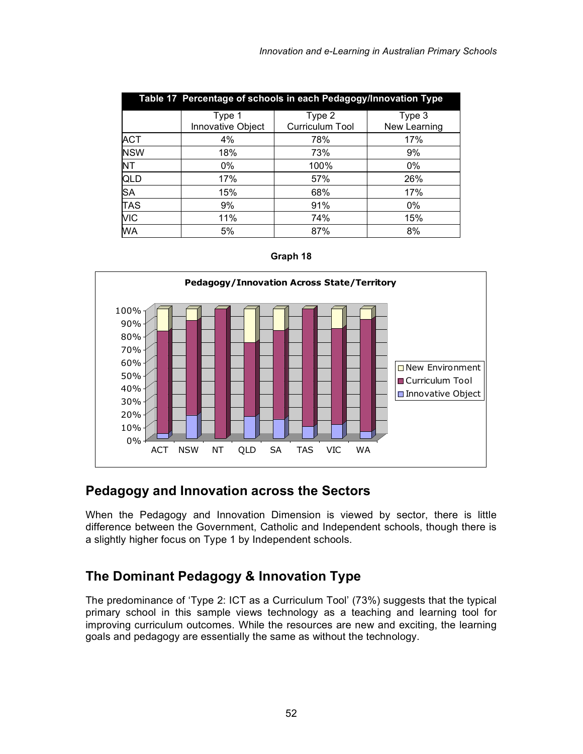|            | Table 17 Percentage of schools in each Pedagogy/Innovation Type |                           |                        |  |  |
|------------|-----------------------------------------------------------------|---------------------------|------------------------|--|--|
|            | Type 1<br>Innovative Object                                     | Type 2<br>Curriculum Tool | Type 3<br>New Learning |  |  |
| <b>ACT</b> | 4%                                                              | 78%                       | 17%                    |  |  |
| <b>NSW</b> | 18%                                                             | 73%                       | 9%                     |  |  |
| <b>NT</b>  | 0%                                                              | 100%                      | 0%                     |  |  |
| QLD        | 17%                                                             | 57%                       | 26%                    |  |  |
| <b>SA</b>  | 15%                                                             | 68%                       | 17%                    |  |  |
| <b>TAS</b> | 9%                                                              | 91%                       | 0%                     |  |  |
| <b>VIC</b> | 11%                                                             | 74%                       | 15%                    |  |  |
| <b>WA</b>  | 5%                                                              | 87%                       | 8%                     |  |  |



#### **Pedagogy and Innovation across the Sectors**

When the Pedagogy and Innovation Dimension is viewed by sector, there is little difference between the Government, Catholic and Independent schools, though there is a slightly higher focus on Type 1 by Independent schools.

### **The Dominant Pedagogy & Innovation Type**

The predominance of 'Type 2: ICT as a Curriculum Tool' (73%) suggests that the typical primary school in this sample views technology as a teaching and learning tool for improving curriculum outcomes. While the resources are new and exciting, the learning goals and pedagogy are essentially the same as without the technology.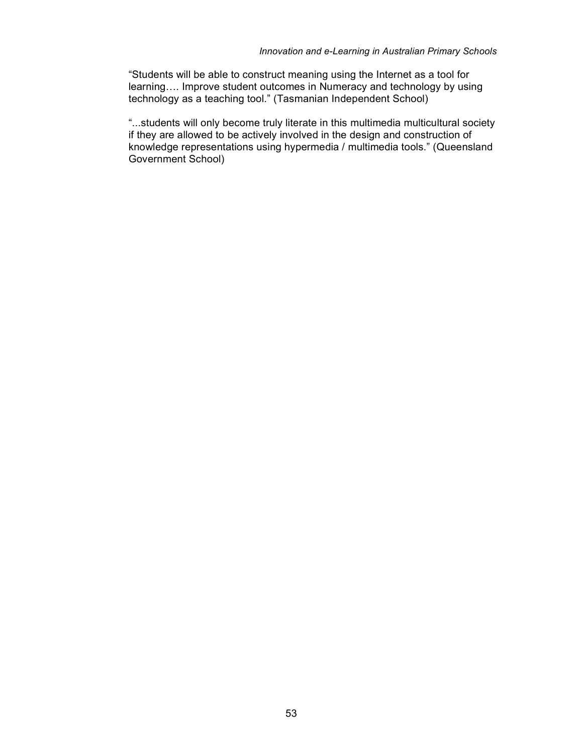"Students will be able to construct meaning using the Internet as a tool for learning…. Improve student outcomes in Numeracy and technology by using technology as a teaching tool." (Tasmanian Independent School)

"...students will only become truly literate in this multimedia multicultural society if they are allowed to be actively involved in the design and construction of knowledge representations using hypermedia / multimedia tools." (Queensland Government School)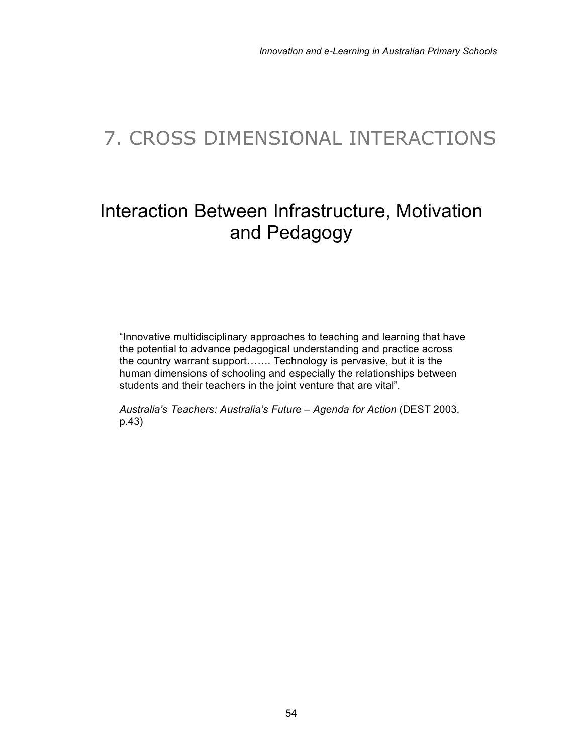## 7. CROSS DIMENSIONAL INTERACTIONS

## Interaction Between Infrastructure, Motivation and Pedagogy

"Innovative multidisciplinary approaches to teaching and learning that have the potential to advance pedagogical understanding and practice across the country warrant support……. Technology is pervasive, but it is the human dimensions of schooling and especially the relationships between students and their teachers in the joint venture that are vital".

*Australia's Teachers: Australia's Future – Agenda for Action* (DEST 2003, p.43)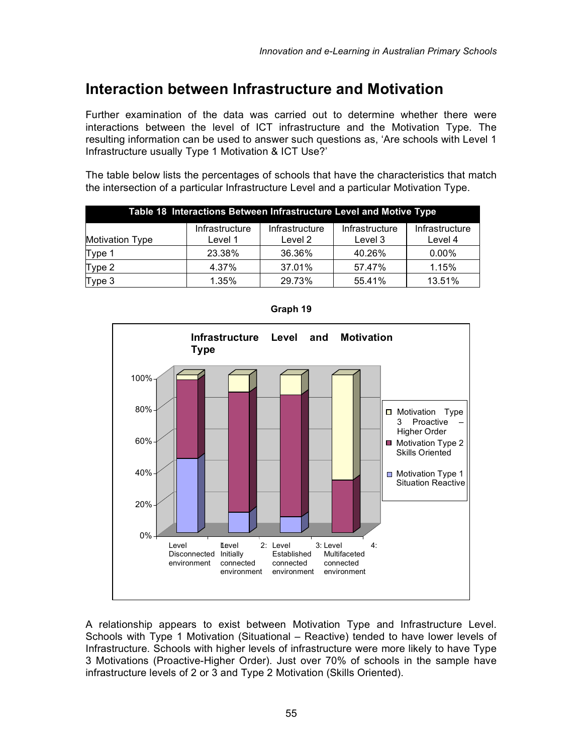### **Interaction between Infrastructure and Motivation**

Further examination of the data was carried out to determine whether there were interactions between the level of ICT infrastructure and the Motivation Type. The resulting information can be used to answer such questions as, 'Are schools with Level 1 Infrastructure usually Type 1 Motivation & ICT Use?'

The table below lists the percentages of schools that have the characteristics that match the intersection of a particular Infrastructure Level and a particular Motivation Type.

| Table 18 Interactions Between Infrastructure Level and Motive Type |                           |                           |                           |                           |  |
|--------------------------------------------------------------------|---------------------------|---------------------------|---------------------------|---------------------------|--|
| <b>Motivation Type</b>                                             | Infrastructure<br>Level 1 | Infrastructure<br>Level 2 | Infrastructure<br>Level 3 | Infrastructure<br>Level 4 |  |
| Type 1                                                             | 23.38%                    | 36.36%                    | 40.26%                    | $0.00\%$                  |  |
| Type 2                                                             | 4.37%                     | 37.01%                    | 57.47%                    | 1.15%                     |  |
| Type 3                                                             | 1.35%                     | 29.73%                    | 55.41%                    | 13.51%                    |  |



**Graph 19**

A relationship appears to exist between Motivation Type and Infrastructure Level. Schools with Type 1 Motivation (Situational – Reactive) tended to have lower levels of Infrastructure. Schools with higher levels of infrastructure were more likely to have Type 3 Motivations (Proactive-Higher Order). Just over 70% of schools in the sample have infrastructure levels of 2 or 3 and Type 2 Motivation (Skills Oriented).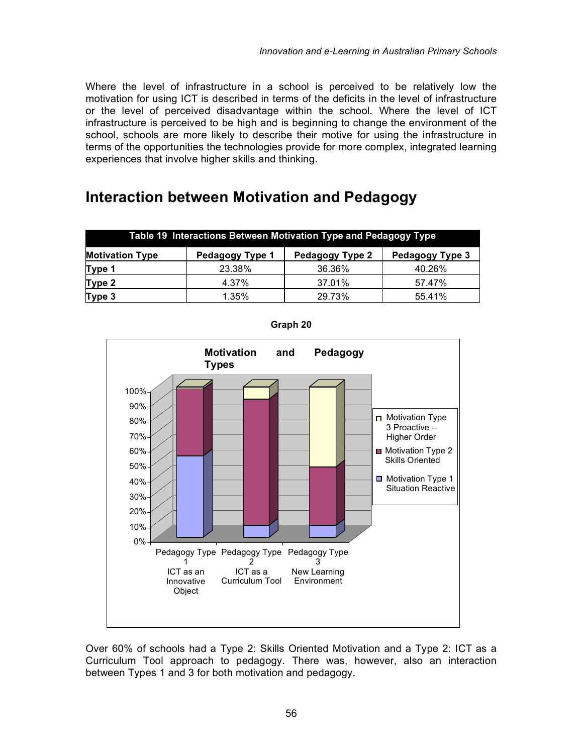Where the level of infrastructure in a school is perceived to be relatively low the motivation for using ICT is described in terms of the deficits in the level of infrastructure or the level of perceived disadvantage within the school. Where the level of ICT infrastructure is perceived to be high and is beginning to change the environment of the school, schools are more likely to describe their motive for using the infrastructure in terms of the opportunities the technologies provide for more complex, integrated learning experiences that involve higher skills and thinking.

### **Interaction between Motivation and Pedagogy**

| Table 19 Interactions Between Motivation Type and Pedagogy Type                 |        |        |        |  |  |  |
|---------------------------------------------------------------------------------|--------|--------|--------|--|--|--|
| <b>Motivation Type</b><br>Pedagogy Type 3<br>Pedagogy Type 2<br>Pedagogy Type 1 |        |        |        |  |  |  |
| Type 1                                                                          | 23.38% | 36.36% | 40.26% |  |  |  |
| Type 2                                                                          | 4.37%  | 37.01% | 57.47% |  |  |  |
| Type 3                                                                          | 1.35%  | 29.73% | 55.41% |  |  |  |



**Graph 20**

Over 60% of schools had a Type 2: Skills Oriented Motivation and a Type 2: ICT as a Curriculum Tool approach to pedagogy. There was, however, also an interaction between Types 1 and 3 for both motivation and pedagogy.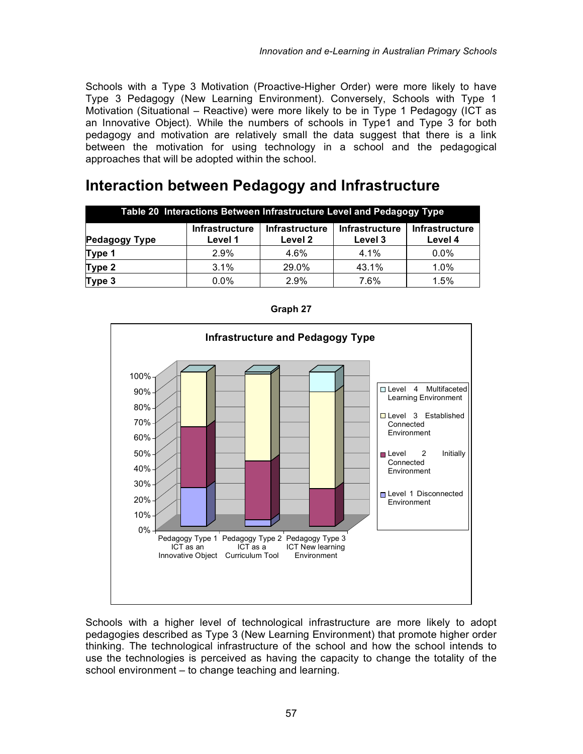Schools with a Type 3 Motivation (Proactive-Higher Order) were more likely to have Type 3 Pedagogy (New Learning Environment). Conversely, Schools with Type 1 Motivation (Situational – Reactive) were more likely to be in Type 1 Pedagogy (ICT as an Innovative Object). While the numbers of schools in Type1 and Type 3 for both pedagogy and motivation are relatively small the data suggest that there is a link between the motivation for using technology in a school and the pedagogical approaches that will be adopted within the school.

### **Interaction between Pedagogy and Infrastructure**

| Table 20 Interactions Between Infrastructure Level and Pedagogy Type                                                                                                 |         |       |       |         |  |  |
|----------------------------------------------------------------------------------------------------------------------------------------------------------------------|---------|-------|-------|---------|--|--|
| <b>Infrastructure</b><br><b>Infrastructure</b><br><b>Infrastructure</b><br><b>Infrastructure</b><br><b>Pedagogy Type</b><br>Level 2<br>Level 3<br>Level 4<br>Level 1 |         |       |       |         |  |  |
| Type 1                                                                                                                                                               | 2.9%    | 4.6%  | 4.1%  | $0.0\%$ |  |  |
| Type 2                                                                                                                                                               | 3.1%    | 29.0% | 43.1% | 1.0%    |  |  |
| Type 3                                                                                                                                                               | $0.0\%$ | 2.9%  | 7.6%  | 1.5%    |  |  |



**Graph 27**

Schools with a higher level of technological infrastructure are more likely to adopt pedagogies described as Type 3 (New Learning Environment) that promote higher order thinking. The technological infrastructure of the school and how the school intends to use the technologies is perceived as having the capacity to change the totality of the school environment – to change teaching and learning.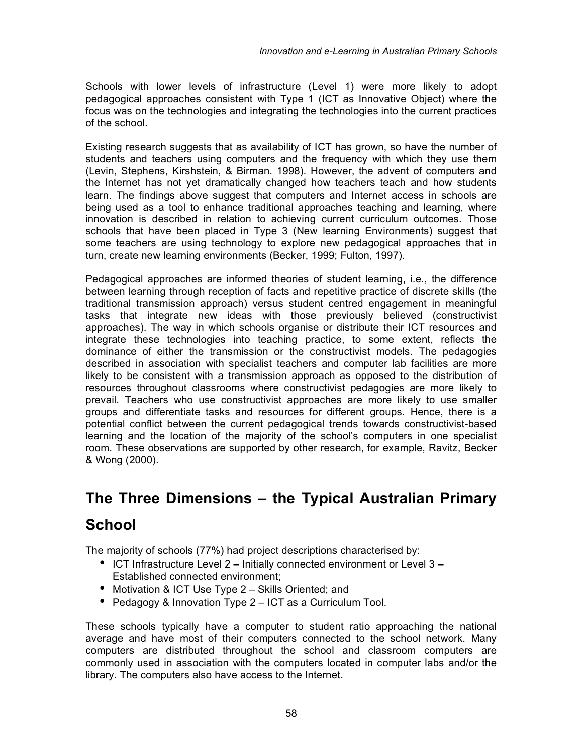Schools with lower levels of infrastructure (Level 1) were more likely to adopt pedagogical approaches consistent with Type 1 (ICT as Innovative Object) where the focus was on the technologies and integrating the technologies into the current practices of the school.

Existing research suggests that as availability of ICT has grown, so have the number of students and teachers using computers and the frequency with which they use them (Levin, Stephens, Kirshstein, & Birman. 1998). However, the advent of computers and the Internet has not yet dramatically changed how teachers teach and how students learn. The findings above suggest that computers and Internet access in schools are being used as a tool to enhance traditional approaches teaching and learning, where innovation is described in relation to achieving current curriculum outcomes. Those schools that have been placed in Type 3 (New learning Environments) suggest that some teachers are using technology to explore new pedagogical approaches that in turn, create new learning environments (Becker, 1999; Fulton, 1997).

Pedagogical approaches are informed theories of student learning, i.e., the difference between learning through reception of facts and repetitive practice of discrete skills (the traditional transmission approach) versus student centred engagement in meaningful tasks that integrate new ideas with those previously believed (constructivist approaches). The way in which schools organise or distribute their ICT resources and integrate these technologies into teaching practice, to some extent, reflects the dominance of either the transmission or the constructivist models. The pedagogies described in association with specialist teachers and computer lab facilities are more likely to be consistent with a transmission approach as opposed to the distribution of resources throughout classrooms where constructivist pedagogies are more likely to prevail. Teachers who use constructivist approaches are more likely to use smaller groups and differentiate tasks and resources for different groups. Hence, there is a potential conflict between the current pedagogical trends towards constructivist-based learning and the location of the majority of the school's computers in one specialist room. These observations are supported by other research, for example, Ravitz, Becker & Wong (2000).

# **The Three Dimensions – the Typical Australian Primary**

### **School**

The majority of schools (77%) had project descriptions characterised by:

- ICT Infrastructure Level 2 Initially connected environment or Level 3 Established connected environment;
- Motivation & ICT Use Type 2 Skills Oriented; and
- Pedagogy & Innovation Type 2 ICT as a Curriculum Tool.

These schools typically have a computer to student ratio approaching the national average and have most of their computers connected to the school network. Many computers are distributed throughout the school and classroom computers are commonly used in association with the computers located in computer labs and/or the library. The computers also have access to the Internet.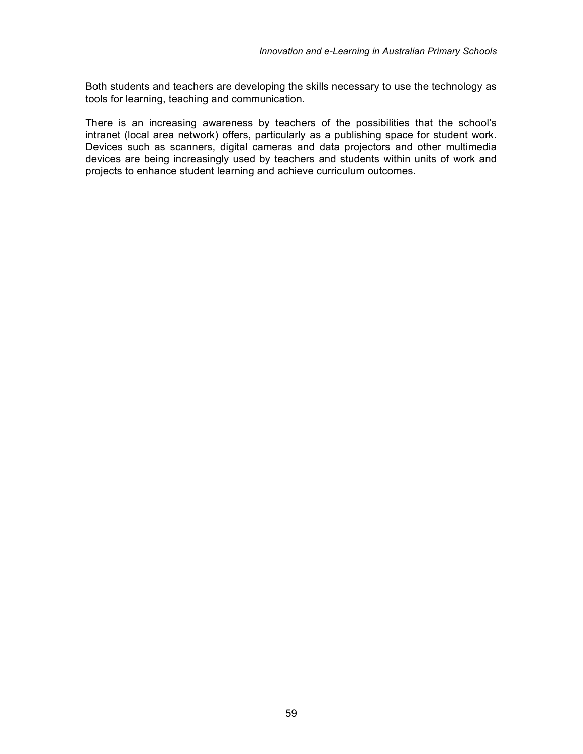Both students and teachers are developing the skills necessary to use the technology as tools for learning, teaching and communication.

There is an increasing awareness by teachers of the possibilities that the school's intranet (local area network) offers, particularly as a publishing space for student work. Devices such as scanners, digital cameras and data projectors and other multimedia devices are being increasingly used by teachers and students within units of work and projects to enhance student learning and achieve curriculum outcomes.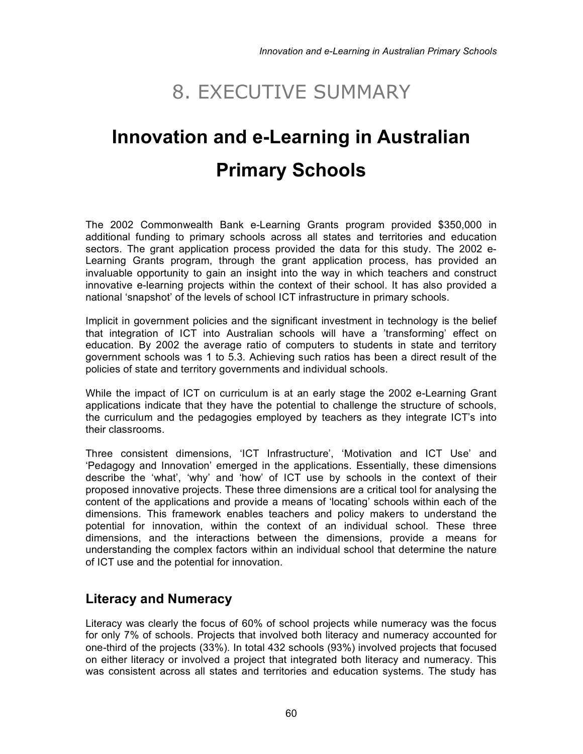## 8. EXECUTIVE SUMMARY

# **Innovation and e-Learning in Australian Primary Schools**

The 2002 Commonwealth Bank e-Learning Grants program provided \$350,000 in additional funding to primary schools across all states and territories and education sectors. The grant application process provided the data for this study. The 2002 e-Learning Grants program, through the grant application process, has provided an invaluable opportunity to gain an insight into the way in which teachers and construct innovative e-learning projects within the context of their school. It has also provided a national 'snapshot' of the levels of school ICT infrastructure in primary schools.

Implicit in government policies and the significant investment in technology is the belief that integration of ICT into Australian schools will have a 'transforming' effect on education. By 2002 the average ratio of computers to students in state and territory government schools was 1 to 5.3. Achieving such ratios has been a direct result of the policies of state and territory governments and individual schools.

While the impact of ICT on curriculum is at an early stage the 2002 e-Learning Grant applications indicate that they have the potential to challenge the structure of schools, the curriculum and the pedagogies employed by teachers as they integrate ICT's into their classrooms.

Three consistent dimensions, 'ICT Infrastructure', 'Motivation and ICT Use' and 'Pedagogy and Innovation' emerged in the applications. Essentially, these dimensions describe the 'what', 'why' and 'how' of ICT use by schools in the context of their proposed innovative projects. These three dimensions are a critical tool for analysing the content of the applications and provide a means of 'locating' schools within each of the dimensions. This framework enables teachers and policy makers to understand the potential for innovation, within the context of an individual school. These three dimensions, and the interactions between the dimensions, provide a means for understanding the complex factors within an individual school that determine the nature of ICT use and the potential for innovation.

#### **Literacy and Numeracy**

Literacy was clearly the focus of 60% of school projects while numeracy was the focus for only 7% of schools. Projects that involved both literacy and numeracy accounted for one-third of the projects (33%). In total 432 schools (93%) involved projects that focused on either literacy or involved a project that integrated both literacy and numeracy. This was consistent across all states and territories and education systems. The study has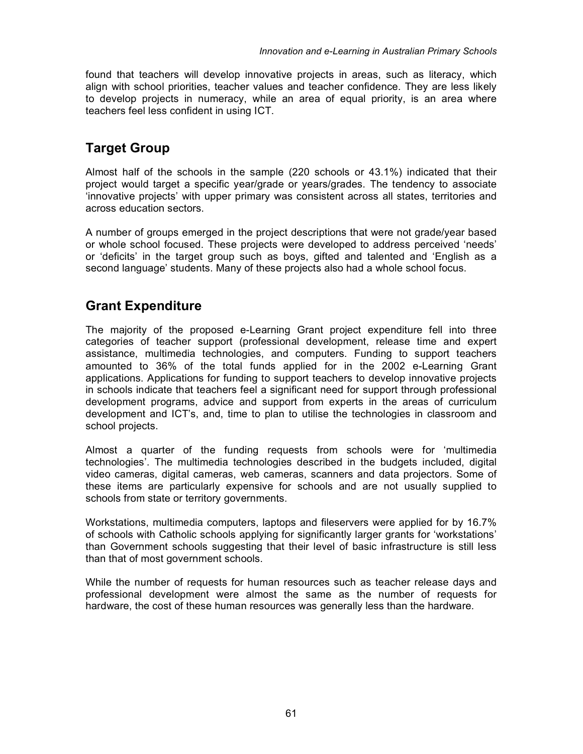found that teachers will develop innovative projects in areas, such as literacy, which align with school priorities, teacher values and teacher confidence. They are less likely to develop projects in numeracy, while an area of equal priority, is an area where teachers feel less confident in using ICT.

#### **Target Group**

Almost half of the schools in the sample (220 schools or 43.1%) indicated that their project would target a specific year/grade or years/grades. The tendency to associate 'innovative projects' with upper primary was consistent across all states, territories and across education sectors.

A number of groups emerged in the project descriptions that were not grade/year based or whole school focused. These projects were developed to address perceived 'needs' or 'deficits' in the target group such as boys, gifted and talented and 'English as a second language' students. Many of these projects also had a whole school focus.

#### **Grant Expenditure**

The majority of the proposed e-Learning Grant project expenditure fell into three categories of teacher support (professional development, release time and expert assistance, multimedia technologies, and computers. Funding to support teachers amounted to 36% of the total funds applied for in the 2002 e-Learning Grant applications. Applications for funding to support teachers to develop innovative projects in schools indicate that teachers feel a significant need for support through professional development programs, advice and support from experts in the areas of curriculum development and ICT's, and, time to plan to utilise the technologies in classroom and school projects.

Almost a quarter of the funding requests from schools were for 'multimedia technologies'. The multimedia technologies described in the budgets included, digital video cameras, digital cameras, web cameras, scanners and data projectors. Some of these items are particularly expensive for schools and are not usually supplied to schools from state or territory governments.

Workstations, multimedia computers, laptops and fileservers were applied for by 16.7% of schools with Catholic schools applying for significantly larger grants for 'workstations' than Government schools suggesting that their level of basic infrastructure is still less than that of most government schools.

While the number of requests for human resources such as teacher release days and professional development were almost the same as the number of requests for hardware, the cost of these human resources was generally less than the hardware.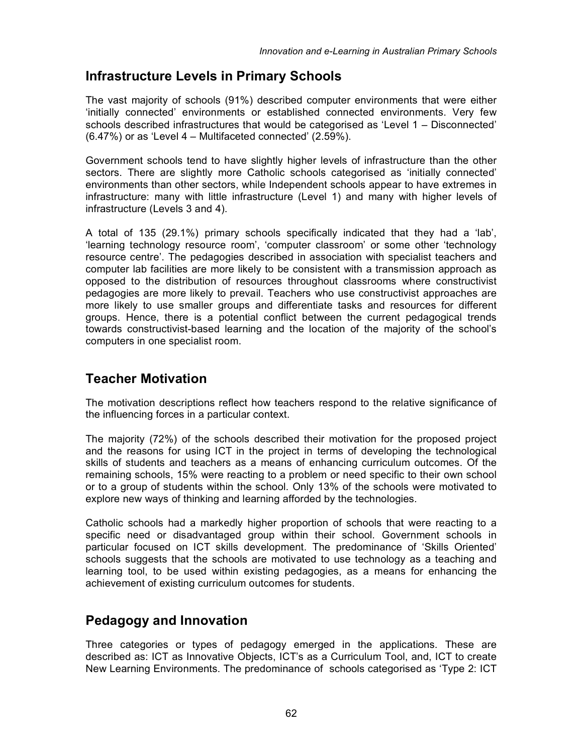#### **Infrastructure Levels in Primary Schools**

The vast majority of schools (91%) described computer environments that were either 'initially connected' environments or established connected environments. Very few schools described infrastructures that would be categorised as 'Level 1 – Disconnected' (6.47%) or as 'Level 4 – Multifaceted connected' (2.59%).

Government schools tend to have slightly higher levels of infrastructure than the other sectors. There are slightly more Catholic schools categorised as 'initially connected' environments than other sectors, while Independent schools appear to have extremes in infrastructure: many with little infrastructure (Level 1) and many with higher levels of infrastructure (Levels 3 and 4).

A total of 135 (29.1%) primary schools specifically indicated that they had a 'lab', 'learning technology resource room', 'computer classroom' or some other 'technology resource centre'. The pedagogies described in association with specialist teachers and computer lab facilities are more likely to be consistent with a transmission approach as opposed to the distribution of resources throughout classrooms where constructivist pedagogies are more likely to prevail. Teachers who use constructivist approaches are more likely to use smaller groups and differentiate tasks and resources for different groups. Hence, there is a potential conflict between the current pedagogical trends towards constructivist-based learning and the location of the majority of the school's computers in one specialist room.

#### **Teacher Motivation**

The motivation descriptions reflect how teachers respond to the relative significance of the influencing forces in a particular context.

The majority (72%) of the schools described their motivation for the proposed project and the reasons for using ICT in the project in terms of developing the technological skills of students and teachers as a means of enhancing curriculum outcomes. Of the remaining schools, 15% were reacting to a problem or need specific to their own school or to a group of students within the school. Only 13% of the schools were motivated to explore new ways of thinking and learning afforded by the technologies.

Catholic schools had a markedly higher proportion of schools that were reacting to a specific need or disadvantaged group within their school. Government schools in particular focused on ICT skills development. The predominance of 'Skills Oriented' schools suggests that the schools are motivated to use technology as a teaching and learning tool, to be used within existing pedagogies, as a means for enhancing the achievement of existing curriculum outcomes for students.

#### **Pedagogy and Innovation**

Three categories or types of pedagogy emerged in the applications. These are described as: ICT as Innovative Objects, ICT's as a Curriculum Tool, and, ICT to create New Learning Environments. The predominance of schools categorised as 'Type 2: ICT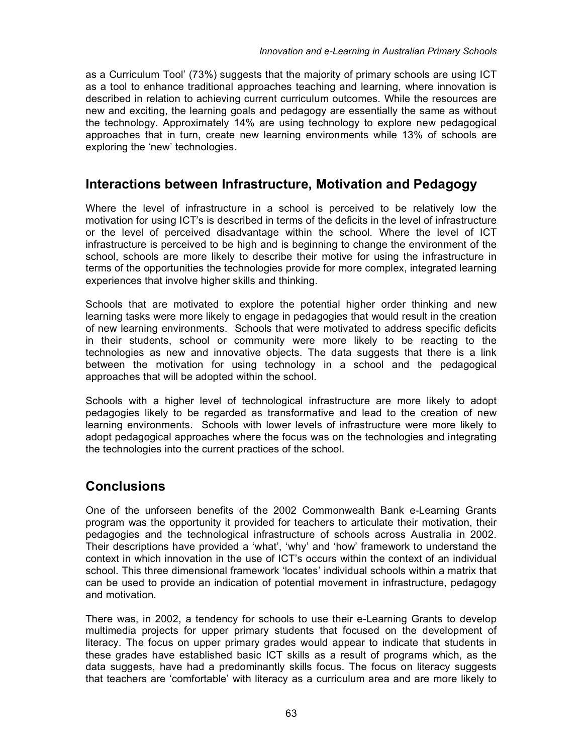as a Curriculum Tool' (73%) suggests that the majority of primary schools are using ICT as a tool to enhance traditional approaches teaching and learning, where innovation is described in relation to achieving current curriculum outcomes. While the resources are new and exciting, the learning goals and pedagogy are essentially the same as without the technology. Approximately 14% are using technology to explore new pedagogical approaches that in turn, create new learning environments while 13% of schools are exploring the 'new' technologies.

#### **Interactions between Infrastructure, Motivation and Pedagogy**

Where the level of infrastructure in a school is perceived to be relatively low the motivation for using ICT's is described in terms of the deficits in the level of infrastructure or the level of perceived disadvantage within the school. Where the level of ICT infrastructure is perceived to be high and is beginning to change the environment of the school, schools are more likely to describe their motive for using the infrastructure in terms of the opportunities the technologies provide for more complex, integrated learning experiences that involve higher skills and thinking.

Schools that are motivated to explore the potential higher order thinking and new learning tasks were more likely to engage in pedagogies that would result in the creation of new learning environments. Schools that were motivated to address specific deficits in their students, school or community were more likely to be reacting to the technologies as new and innovative objects. The data suggests that there is a link between the motivation for using technology in a school and the pedagogical approaches that will be adopted within the school.

Schools with a higher level of technological infrastructure are more likely to adopt pedagogies likely to be regarded as transformative and lead to the creation of new learning environments. Schools with lower levels of infrastructure were more likely to adopt pedagogical approaches where the focus was on the technologies and integrating the technologies into the current practices of the school.

#### **Conclusions**

One of the unforseen benefits of the 2002 Commonwealth Bank e-Learning Grants program was the opportunity it provided for teachers to articulate their motivation, their pedagogies and the technological infrastructure of schools across Australia in 2002. Their descriptions have provided a 'what', 'why' and 'how' framework to understand the context in which innovation in the use of ICT's occurs within the context of an individual school. This three dimensional framework 'locates' individual schools within a matrix that can be used to provide an indication of potential movement in infrastructure, pedagogy and motivation.

There was, in 2002, a tendency for schools to use their e-Learning Grants to develop multimedia projects for upper primary students that focused on the development of literacy. The focus on upper primary grades would appear to indicate that students in these grades have established basic ICT skills as a result of programs which, as the data suggests, have had a predominantly skills focus. The focus on literacy suggests that teachers are 'comfortable' with literacy as a curriculum area and are more likely to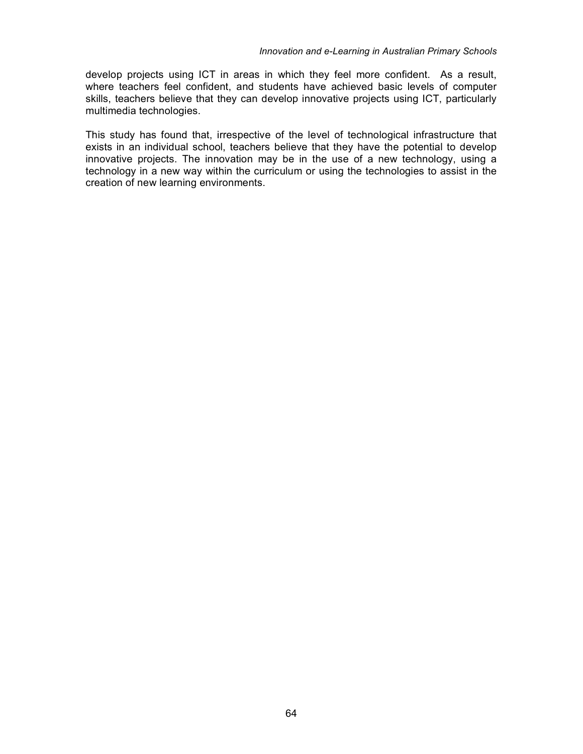develop projects using ICT in areas in which they feel more confident. As a result, where teachers feel confident, and students have achieved basic levels of computer skills, teachers believe that they can develop innovative projects using ICT, particularly multimedia technologies.

This study has found that, irrespective of the level of technological infrastructure that exists in an individual school, teachers believe that they have the potential to develop innovative projects. The innovation may be in the use of a new technology, using a technology in a new way within the curriculum or using the technologies to assist in the creation of new learning environments.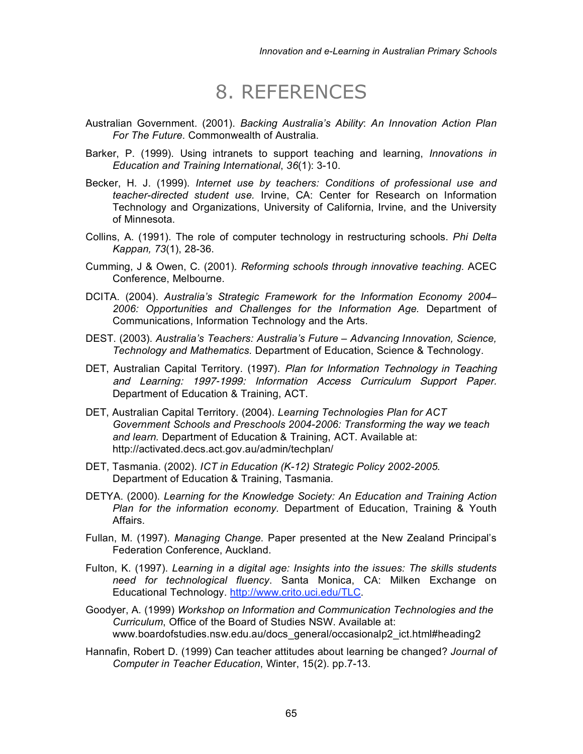## 8. REFERENCES

- Australian Government. (2001). *Backing Australia's Ability*: *An Innovation Action Plan For The Future*. Commonwealth of Australia.
- Barker, P. (1999). Using intranets to support teaching and learning, *Innovations in Education and Training International*, *36*(1): 3-10.
- Becker, H. J. (1999). *Internet use by teachers: Conditions of professional use and teacher-directed student use.* Irvine, CA: Center for Research on Information Technology and Organizations, University of California, Irvine, and the University of Minnesota.
- Collins, A. (1991). The role of computer technology in restructuring schools. *Phi Delta Kappan, 73*(1), 28-36.
- Cumming, J & Owen, C. (2001). *Reforming schools through innovative teaching*. ACEC Conference, Melbourne.
- DCITA. (2004). *Australia's Strategic Framework for the Information Economy 2004– 2006: Opportunities and Challenges for the Information Age.* Department of Communications, Information Technology and the Arts.
- DEST. (2003). *Australia's Teachers: Australia's Future – Advancing Innovation, Science, Technology and Mathematics.* Department of Education, Science & Technology.
- DET, Australian Capital Territory. (1997). Plan for Information Technology in Teaching and Learning: 1997-1999: Information Access Curriculum Support Paper. Department of Education & Training, ACT.
- DET, Australian Capital Territory. (2004). *Learning Technologies Plan for ACT Government Schools and Preschools 2004-2006: Transforming the way we teach and learn.* Department of Education & Training, ACT. Available at: http://activated.decs.act.gov.au/admin/techplan/
- DET, Tasmania. (2002). *ICT in Education (K-12) Strategic Policy 2002-2005.* Department of Education & Training, Tasmania.
- DETYA. (2000). *Learning for the Knowledge Society: An Education and Training Action Plan for the information economy.* Department of Education, Training & Youth Affairs.
- Fullan, M. (1997). *Managing Change*. Paper presented at the New Zealand Principal's Federation Conference, Auckland.
- Fulton, K. (1997). *Learning in a digital age: Insights into the issues: The skills students need for technological fluency*. Santa Monica, CA: Milken Exchange on Educational Technology. http://www.crito.uci.edu/TLC.
- Goodyer, A. (1999) *Workshop on Information and Communication Technologies and the Curriculum*, Office of the Board of Studies NSW. Available at: www.boardofstudies.nsw.edu.au/docs\_general/occasionalp2\_ict.html#heading2
- Hannafin, Robert D. (1999) Can teacher attitudes about learning be changed? *Journal of Computer in Teacher Education*, Winter, 15(2). pp.7-13.